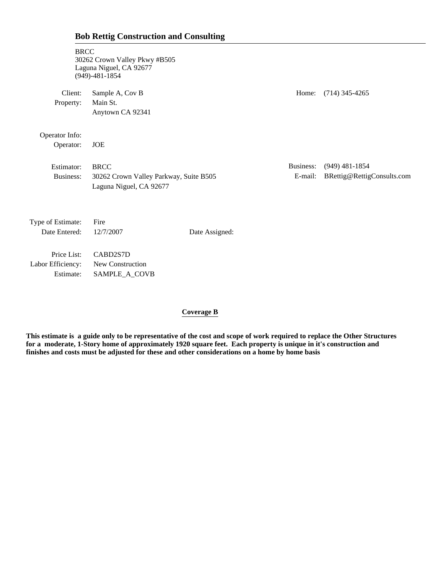| <b>BRCC</b>                                   | 30262 Crown Valley Pkwy #B505<br>Laguna Niguel, CA 92677<br>$(949) - 481 - 1854$ |                |                      |                                                |
|-----------------------------------------------|----------------------------------------------------------------------------------|----------------|----------------------|------------------------------------------------|
| Client:<br>Property:                          | Sample A, Cov B<br>Main St.<br>Anytown CA 92341                                  |                | Home:                | $(714)$ 345-4265                               |
| Operator Info:<br>Operator:                   | <b>JOE</b>                                                                       |                |                      |                                                |
| Estimator:<br>Business:                       | <b>BRCC</b><br>30262 Crown Valley Parkway, Suite B505<br>Laguna Niguel, CA 92677 |                | Business:<br>E-mail: | $(949)$ 481-1854<br>BRettig@RettigConsults.com |
| Type of Estimate:<br>Date Entered:            | Fire<br>12/7/2007                                                                | Date Assigned: |                      |                                                |
| Price List:<br>Labor Efficiency:<br>Estimate: | CABD2S7D<br>New Construction<br>SAMPLE_A_COVB                                    |                |                      |                                                |

#### **Coverage B**

**This estimate is a guide only to be representative of the cost and scope of work required to replace the Other Structures for a moderate, 1-Story home of approximately 1920 square feet. Each property is unique in it's construction and finishes and costs must be adjusted for these and other considerations on a home by home basis**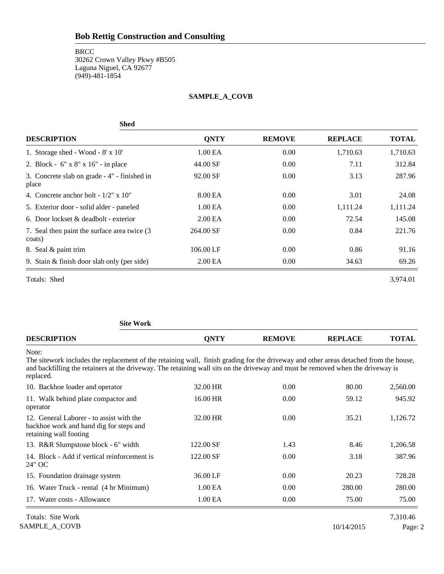#### **BRCC**

30262 Crown Valley Pkwy #B505 Laguna Niguel, CA 92677 (949)-481-1854

#### **SAMPLE\_A\_COVB**

| <b>Shed</b>                                             |                     |               |                |              |
|---------------------------------------------------------|---------------------|---------------|----------------|--------------|
| <b>DESCRIPTION</b>                                      | <b>QNTY</b>         | <b>REMOVE</b> | <b>REPLACE</b> | <b>TOTAL</b> |
| 1. Storage shed - Wood - $8' \times 10'$                | 1.00 EA             | 0.00          | 1,710.63       | 1,710.63     |
| 2. Block - 6" x 8" x 16" - in place                     | 44.00 SF            | 0.00          | 7.11           | 312.84       |
| 3. Concrete slab on grade - 4" - finished in<br>place   | 92.00 SF            | 0.00          | 3.13           | 287.96       |
| 4. Concrete anchor bolt - $1/2$ " x $10$ "              | 8.00 EA             | 0.00          | 3.01           | 24.08        |
| 5. Exterior door - solid alder - paneled                | 1.00 <sub>E</sub> A | 0.00          | 1,111.24       | 1,111.24     |
| 6. Door lockset $\&$ deadbolt - exterior                | 2.00 <sub>E</sub> A | 0.00          | 72.54          | 145.08       |
| 7. Seal then paint the surface area twice (3)<br>coats) | 264.00 SF           | 0.00          | 0.84           | 221.76       |
| 8. Seal & paint trim                                    | 106.00 LF           | 0.00          | 0.86           | 91.16        |
| 9. Stain & finish door slab only (per side)             | 2.00 <sub>E</sub> A | 0.00          | 34.63          | 69.26        |

Totals: Shed 3,974.01

**Site Work DESCRIPTION QNTY REMOVE REPLACE TOTAL** Note: The sitework includes the replacement of the retaining wall, finish grading for the driveway and other areas detached from the house, and backfilling the retainers at the driveway. The retaining wall sits on the driveway and must be removed when the driveway is replaced. 10. Backhoe loader and operator 32.00 HR 0.00 80.00 2,560.00 11. Walk behind plate compactor and 16.00 HR 0.00 59.12 945.92 operator 12. General Laborer - to assist with the 32.00 HR 0.00 35.21 1,126.72 backhoe work and hand dig for steps and retaining wall footing 13. R&R Slumpstone block - 6" width 122.00 SF 1.43 8.46 1,206.58 14. Block - Add if vertical reinforcement is 122.00 SF 0.00 3.18 387.96 24" OC 15. Foundation drainage system 36.00 LF 0.00 20.23 728.28 16. Water Truck - rental (4 hr Minimum) 1.00 EA 0.00 280.00 280.00 17. Water costs - Allowance 1.00 EA 0.00 75.00 75.00 75.00 Totals: Site Work 7,310.46

SAMPLE\_A\_COVB Page: 2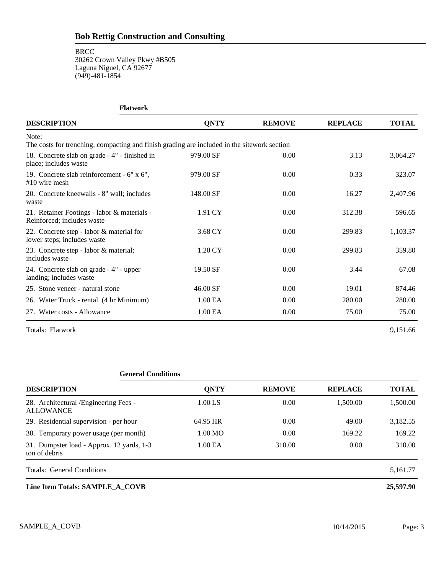#### **BRCC**

3

30262 Crown Valley Pkwy #B505 Laguna Niguel, CA 92677 (949)-481-1854

| <b>Flatwork</b>                                                                                      |                     |               |                |              |
|------------------------------------------------------------------------------------------------------|---------------------|---------------|----------------|--------------|
| <b>DESCRIPTION</b>                                                                                   | <b>QNTY</b>         | <b>REMOVE</b> | <b>REPLACE</b> | <b>TOTAL</b> |
| Note:<br>The costs for trenching, compacting and finish grading are included in the sitework section |                     |               |                |              |
| 18. Concrete slab on grade - 4" - finished in<br>place; includes waste                               | 979.00 SF           | 0.00          | 3.13           | 3,064.27     |
| 19. Concrete slab reinforcement - 6" x 6",<br>$#10$ wire mesh                                        | 979.00 SF           | 0.00          | 0.33           | 323.07       |
| 20. Concrete kneewalls - 8" wall; includes<br>waste                                                  | 148.00 SF           | 0.00          | 16.27          | 2,407.96     |
| 21. Retainer Footings - labor & materials -<br>Reinforced; includes waste                            | 1.91 CY             | 0.00          | 312.38         | 596.65       |
| 22. Concrete step - labor & material for<br>lower steps; includes waste                              | 3.68 CY             | 0.00          | 299.83         | 1,103.37     |
| 23. Concrete step - labor & material;<br>includes waste                                              | 1.20 CY             | 0.00          | 299.83         | 359.80       |
| 24. Concrete slab on grade - 4" - upper<br>landing; includes waste                                   | 19.50 SF            | 0.00          | 3.44           | 67.08        |
| 25. Stone veneer - natural stone                                                                     | 46.00 SF            | 0.00          | 19.01          | 874.46       |
| 26. Water Truck - rental (4 hr Minimum)                                                              | 1.00 EA             | 0.00          | 280.00         | 280.00       |
| 27. Water costs - Allowance                                                                          | 1.00 <sub>E</sub> A | 0.00          | 75.00          | 75.00        |

Totals: Flatwork 9,151.66

| <b>General Conditions</b>                                  |                   |               |                |              |
|------------------------------------------------------------|-------------------|---------------|----------------|--------------|
| <b>DESCRIPTION</b>                                         | <b>QNTY</b>       | <b>REMOVE</b> | <b>REPLACE</b> | <b>TOTAL</b> |
| 28. Architectural /Engineering Fees -<br><b>ALLOWANCE</b>  | 1.00 LS           | 0.00          | 1.500.00       | 1,500.00     |
| 29. Residential supervision - per hour                     | 64.95 HR          | 0.00          | 49.00          | 3,182.55     |
| 30. Temporary power usage (per month)                      | $1.00 \text{ MO}$ | 0.00          | 169.22         | 169.22       |
| 31. Dumpster load - Approx. 12 yards, 1-3<br>ton of debris | 1.00 EA           | 310.00        | 0.00           | 310.00       |
| Totals: General Conditions                                 |                   |               |                | 5,161.77     |
| Line Item Totals: SAMPLE_A COVB                            |                   |               |                | 25,597.90    |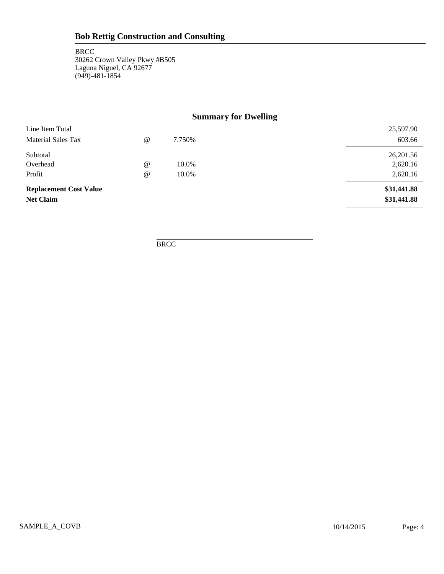### **Summary for Dwelling**

| <b>Replacement Cost Value</b><br><b>Net Claim</b> |                      |        | \$31,441.88<br>\$31,441.88 |
|---------------------------------------------------|----------------------|--------|----------------------------|
| Profit                                            | $^{\circ}$           | 10.0%  | 2,620.16                   |
| Overhead                                          | $^{\textregistered}$ | 10.0%  | 2,620.16                   |
| Subtotal                                          |                      |        | 26,201.56                  |
| <b>Material Sales Tax</b>                         | $^{\circ}$           | 7.750% | 603.66                     |
| Line Item Total                                   |                      |        | 25,597.90                  |

**BRCC**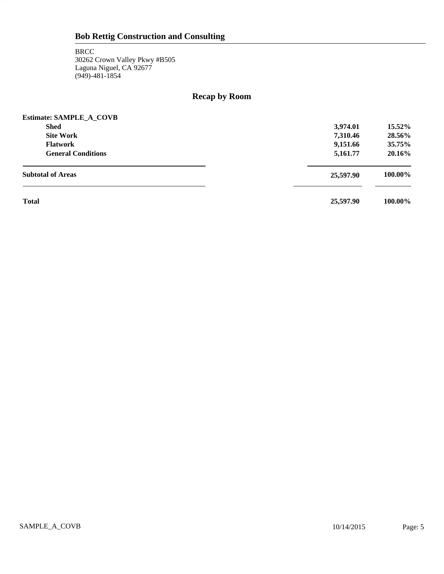5

### **Recap by Room**

| <b>Estimate: SAMPLE A COVB</b> |           |         |
|--------------------------------|-----------|---------|
| <b>Shed</b>                    | 3,974.01  | 15.52%  |
| <b>Site Work</b>               | 7,310.46  | 28.56%  |
| <b>Flatwork</b>                | 9,151.66  | 35.75%  |
| <b>General Conditions</b>      | 5,161.77  | 20.16%  |
| <b>Subtotal of Areas</b>       | 25,597.90 | 100.00% |
| <b>Total</b>                   | 25,597.90 | 100.00% |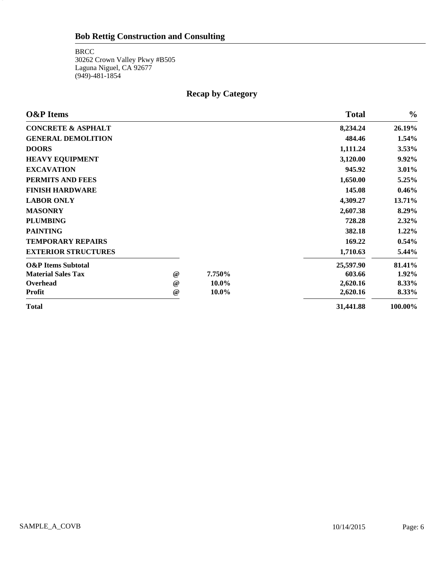**BRCC** 30262 Crown Valley Pkwy #B505 Laguna Niguel, CA 92677 (949)-481-1854

6

### **Recap by Category**

| <b>O&amp;P</b> Items          |                 |        | <b>Total</b> | $\frac{0}{0}$ |
|-------------------------------|-----------------|--------|--------------|---------------|
| <b>CONCRETE &amp; ASPHALT</b> |                 |        | 8,234.24     | 26.19%        |
| <b>GENERAL DEMOLITION</b>     |                 |        | 484.46       | 1.54%         |
| <b>DOORS</b>                  |                 |        | 1,111.24     | $3.53\%$      |
| <b>HEAVY EQUIPMENT</b>        |                 |        | 3,120.00     | 9.92%         |
| <b>EXCAVATION</b>             |                 |        | 945.92       | 3.01%         |
| PERMITS AND FEES              |                 |        | 1,650.00     | 5.25%         |
| <b>FINISH HARDWARE</b>        |                 |        | 145.08       | $0.46\%$      |
| <b>LABOR ONLY</b>             |                 |        | 4,309.27     | 13.71%        |
| <b>MASONRY</b>                |                 |        | 2,607.38     | 8.29%         |
| <b>PLUMBING</b>               |                 |        | 728.28       | $2.32\%$      |
| <b>PAINTING</b>               |                 |        | 382.18       | 1.22%         |
| <b>TEMPORARY REPAIRS</b>      |                 |        | 169.22       | $0.54\%$      |
| <b>EXTERIOR STRUCTURES</b>    |                 |        | 1,710.63     | 5.44%         |
| <b>O&amp;P</b> Items Subtotal |                 |        | 25,597.90    | 81.41%        |
| <b>Material Sales Tax</b>     | $^{\copyright}$ | 7.750% | 603.66       | 1.92%         |
| Overhead                      | $^{\circ}$      | 10.0%  | 2,620.16     | 8.33%         |
| <b>Profit</b>                 | $^{\copyright}$ | 10.0%  | 2,620.16     | 8.33%         |
| <b>Total</b>                  |                 |        | 31,441.88    | 100.00%       |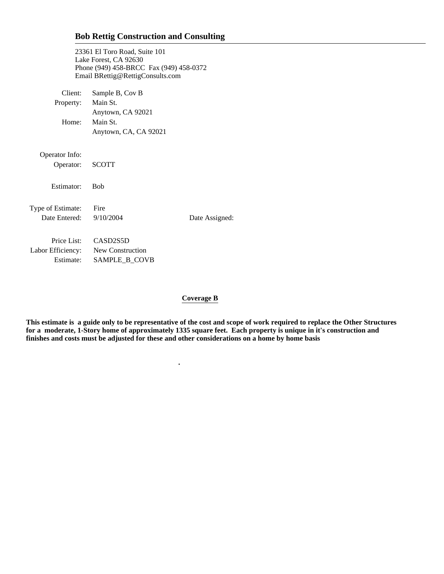23361 El Toro Road, Suite 101 Lake Forest, CA 92630 Phone (949) 458-BRCC Fax (949) 458-0372 Email BRettig@RettigConsults.com

| Client:           | Sample B, Cov B                    |                |
|-------------------|------------------------------------|----------------|
| Property:         | Main St.                           |                |
|                   | Anytown, CA 92021                  |                |
| Home:             | Main St.                           |                |
|                   | Anytown, CA, CA 92021              |                |
|                   |                                    |                |
| Operator Info:    |                                    |                |
| Operator:         | <b>SCOTT</b>                       |                |
| Estimator:        | <b>Bob</b>                         |                |
|                   |                                    |                |
| Type of Estimate: | Fire                               |                |
| Date Entered:     | 9/10/2004                          | Date Assigned: |
|                   |                                    |                |
| Price List:       | CASD <sub>2</sub> S <sub>5</sub> D |                |
|                   | Labor Efficiency: New Construction |                |
| Estimate:         | SAMPLE B COVB                      |                |

 **.**

#### **Coverage B**

**This estimate is a guide only to be representative of the cost and scope of work required to replace the Other Structures for a moderate, 1-Story home of approximately 1335 square feet. Each property is unique in it's construction and finishes and costs must be adjusted for these and other considerations on a home by home basis**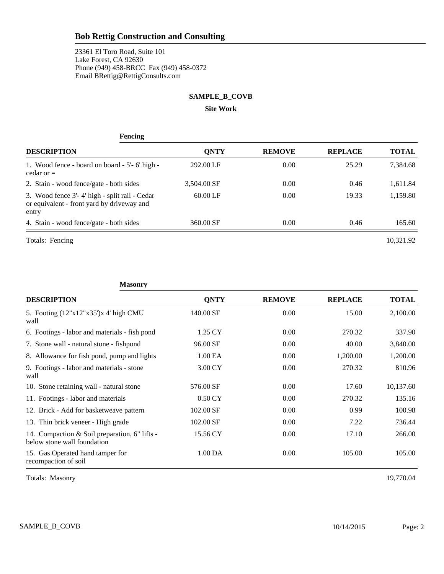23361 El Toro Road, Suite 101 Lake Forest, CA 92630 Phone (949) 458-BRCC Fax (949) 458-0372 Email BRettig@RettigConsults.com

#### **SAMPLE\_B\_COVB**

**Site Work**

| <b>Fencing</b>                                                                                       |             |               |                |              |  |  |
|------------------------------------------------------------------------------------------------------|-------------|---------------|----------------|--------------|--|--|
| <b>DESCRIPTION</b>                                                                                   | <b>ONTY</b> | <b>REMOVE</b> | <b>REPLACE</b> | <b>TOTAL</b> |  |  |
| 1. Wood fence - board on board - 5'-6' high -<br>cedar or $=$                                        | 292.00 LF   | 0.00          | 25.29          | 7,384.68     |  |  |
| 2. Stain - wood fence/gate - both sides                                                              | 3,504.00 SF | 0.00          | 0.46           | 1,611.84     |  |  |
| 3. Wood fence 3'-4' high - split rail - Cedar<br>or equivalent - front yard by driveway and<br>entry | $60.00$ LF  | 0.00          | 19.33          | 1,159.80     |  |  |
| 4. Stain - wood fence/gate - both sides                                                              | 360.00 SF   | 0.00          | 0.46           | 165.60       |  |  |
| Totals: Fencing                                                                                      |             |               |                | 10.321.92    |  |  |

| <b>Masonry</b>                                                               |                    |               |                |              |
|------------------------------------------------------------------------------|--------------------|---------------|----------------|--------------|
| <b>DESCRIPTION</b>                                                           | <b>QNTY</b>        | <b>REMOVE</b> | <b>REPLACE</b> | <b>TOTAL</b> |
| 5. Footing (12"x12"x35")x 4' high CMU<br>wall                                | 140.00 SF          | 0.00          | 15.00          | 2,100.00     |
| 6. Footings - labor and materials - fish pond                                | 1.25 CY            | 0.00          | 270.32         | 337.90       |
| 7. Stone wall - natural stone - fishpond                                     | 96.00 SF           | 0.00          | 40.00          | 3,840.00     |
| 8. Allowance for fish pond, pump and lights                                  | 1.00 EA            | 0.00          | 1,200.00       | 1,200.00     |
| 9. Footings - labor and materials - stone<br>wall                            | 3.00 CY            | 0.00          | 270.32         | 810.96       |
| 10. Stone retaining wall - natural stone                                     | 576.00 SF          | 0.00          | 17.60          | 10,137.60    |
| 11. Footings - labor and materials                                           | $0.50 \mathrm{CY}$ | 0.00          | 270.32         | 135.16       |
| 12. Brick - Add for basketweave pattern                                      | 102.00 SF          | 0.00          | 0.99           | 100.98       |
| 13. Thin brick veneer - High grade                                           | 102.00 SF          | 0.00          | 7.22           | 736.44       |
| 14. Compaction & Soil preparation, 6" lifts -<br>below stone wall foundation | 15.56 CY           | 0.00          | 17.10          | 266.00       |
| 15. Gas Operated hand tamper for<br>recompaction of soil                     | 1.00 DA            | 0.00          | 105.00         | 105.00       |

Totals: Masonry 19,770.04

SAMPLE\_B\_COVB Page: 2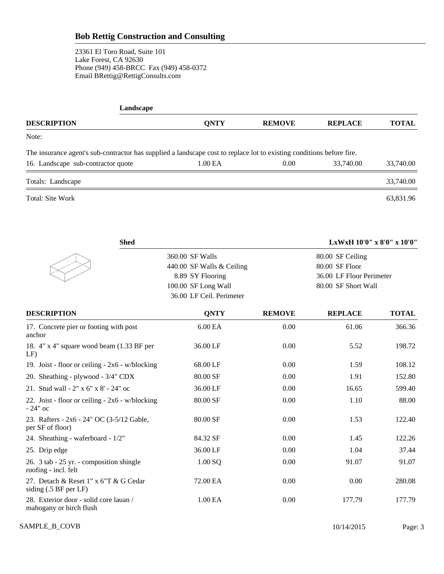23361 El Toro Road, Suite 101 Lake Forest, CA 92630 Phone (949) 458-BRCC Fax (949) 458-0372 Email BRettig@RettigConsults.com

3

| Landscape                                                                                                             |             |               |                |              |
|-----------------------------------------------------------------------------------------------------------------------|-------------|---------------|----------------|--------------|
| <b>DESCRIPTION</b>                                                                                                    | <b>ONTY</b> | <b>REMOVE</b> | <b>REPLACE</b> | <b>TOTAL</b> |
| Note:                                                                                                                 |             |               |                |              |
| The insurance agent's sub-contractor has supplied a landscape cost to replace lot to existing conditions before fire. |             |               |                |              |
| 16. Landscape sub-contractor quote                                                                                    | 1.00 EA     | 0.00          | 33,740.00      | 33,740.00    |
| Totals: Landscape                                                                                                     |             |               |                | 33,740.00    |
| Total: Site Work                                                                                                      |             |               |                | 63.831.96    |

| <b>Shed</b>                                                       |                           |               | LxWxH 10'0" x 8'0" x 10'0" |              |
|-------------------------------------------------------------------|---------------------------|---------------|----------------------------|--------------|
|                                                                   | 360.00 SF Walls           |               | 80.00 SF Ceiling           |              |
|                                                                   | 440.00 SF Walls & Ceiling |               | 80.00 SF Floor             |              |
|                                                                   | 8.89 SY Flooring          |               | 36.00 LF Floor Perimeter   |              |
|                                                                   | 100.00 SF Long Wall       |               | 80.00 SF Short Wall        |              |
|                                                                   | 36.00 LF Ceil. Perimeter  |               |                            |              |
| <b>DESCRIPTION</b>                                                | <b>QNTY</b>               | <b>REMOVE</b> | <b>REPLACE</b>             | <b>TOTAL</b> |
| 17. Concrete pier or footing with post<br>anchor                  | 6.00 EA                   | 0.00          | 61.06                      | 366.36       |
| 18. 4" x 4" square wood beam (1.33 BF per<br>LF                   | 36.00 LF                  | 0.00          | 5.52                       | 198.72       |
| 19. Joist - floor or ceiling - $2x6 - w/blocking$                 | 68.00 LF                  | 0.00          | 1.59                       | 108.12       |
| 20. Sheathing - plywood - 3/4" CDX                                | 80.00 SF                  | 0.00          | 1.91                       | 152.80       |
| 21. Stud wall - 2" x 6" x 8' - 24" oc                             | 36.00 LF                  | 0.00          | 16.65                      | 599.40       |
| 22. Joist - floor or ceiling - 2x6 - w/blocking<br>$-24"$ oc      | 80.00 SF                  | 0.00          | 1.10                       | 88.00        |
| 23. Rafters - 2x6 - 24" OC (3-5/12 Gable,<br>per SF of floor)     | 80.00 SF                  | 0.00          | 1.53                       | 122.40       |
| 24. Sheathing - waferboard - 1/2"                                 | 84.32 SF                  | 0.00          | 1.45                       | 122.26       |
| 25. Drip edge                                                     | 36.00 LF                  | 0.00          | 1.04                       | 37.44        |
| 26. 3 tab - 25 yr. - composition shingle<br>roofing - incl. felt  | 1.00 SQ                   | 0.00          | 91.07                      | 91.07        |
| 27. Detach & Reset 1" x 6"T & G Cedar<br>siding (.5 BF per LF)    | 72.00 EA                  | 0.00          | 0.00                       | 280.08       |
| 28. Exterior door - solid core lauan /<br>mahogany or birch flush | 1.00 EA                   | 0.00          | 177.79                     | 177.79       |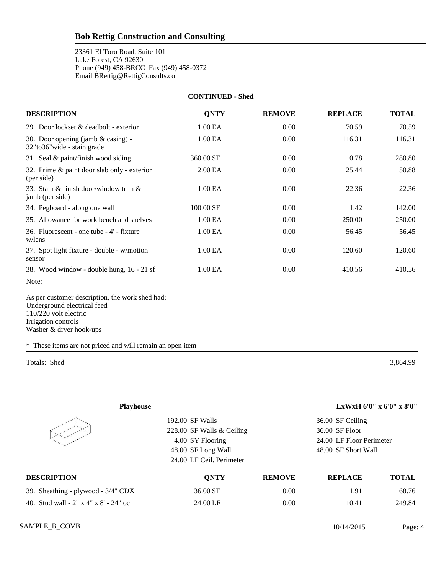23361 El Toro Road, Suite 101 Lake Forest, CA 92630 Phone (949) 458-BRCC Fax (949) 458-0372 Email BRettig@RettigConsults.com

#### **CONTINUED - Shed**

| <b>DESCRIPTION</b>                                                                                                                                        | <b>QNTY</b> | <b>REMOVE</b> | <b>REPLACE</b> | <b>TOTAL</b> |
|-----------------------------------------------------------------------------------------------------------------------------------------------------------|-------------|---------------|----------------|--------------|
| 29. Door lockset & deadbolt - exterior                                                                                                                    | 1.00 EA     | 0.00          | 70.59          | 70.59        |
| 30. Door opening (jamb $&$ casing) -<br>32"to36"wide - stain grade                                                                                        | 1.00 EA     | 0.00          | 116.31         | 116.31       |
| 31. Seal & paint/finish wood siding                                                                                                                       | 360.00 SF   | 0.00          | 0.78           | 280.80       |
| 32. Prime & paint door slab only - exterior<br>(per side)                                                                                                 | 2.00 EA     | 0.00          | 25.44          | 50.88        |
| 33. Stain & finish door/window trim &<br>jamb (per side)                                                                                                  | 1.00 EA     | 0.00          | 22.36          | 22.36        |
| 34. Pegboard - along one wall                                                                                                                             | 100.00 SF   | 0.00          | 1.42           | 142.00       |
| 35. Allowance for work bench and shelves                                                                                                                  | 1.00 EA     | 0.00          | 250.00         | 250.00       |
| 36. Fluorescent - one tube - 4' - fixture<br>w/lens                                                                                                       | 1.00 EA     | 0.00          | 56.45          | 56.45        |
| 37. Spot light fixture - double - w/motion<br>sensor                                                                                                      | 1.00 EA     | 0.00          | 120.60         | 120.60       |
| 38. Wood window - double hung, 16 - 21 sf                                                                                                                 | 1.00 EA     | 0.00          | 410.56         | 410.56       |
| Note:                                                                                                                                                     |             |               |                |              |
| As per customer description, the work shed had;<br>Underground electrical feed<br>110/220 volt electric<br>Irrigation controls<br>Washer & dryer hook-ups |             |               |                |              |

\* These items are not priced and will remain an open item

Totals: Shed 3,864.99

| <b>Playhouse</b>                      |                           |               |                          | LxWxH 6'0" x 6'0" x 8'0" |
|---------------------------------------|---------------------------|---------------|--------------------------|--------------------------|
|                                       | 192.00 SF Walls           |               | 36.00 SF Ceiling         |                          |
|                                       | 228.00 SF Walls & Ceiling |               | 36.00 SF Floor           |                          |
|                                       | 4.00 SY Flooring          |               | 24.00 LF Floor Perimeter |                          |
|                                       | 48.00 SF Long Wall        |               | 48.00 SF Short Wall      |                          |
|                                       | 24.00 LF Ceil. Perimeter  |               |                          |                          |
| <b>DESCRIPTION</b>                    | <b>ONTY</b>               | <b>REMOVE</b> | <b>REPLACE</b>           | <b>TOTAL</b>             |
| 39. Sheathing - plywood - 3/4" CDX    | 36.00 SF                  | 0.00          | 1.91                     | 68.76                    |
| 40. Stud wall - 2" x 4" x 8' - 24" oc | 24.00 LF                  | 0.00          | 10.41                    | 249.84                   |
|                                       |                           |               |                          |                          |

SAMPLE\_B\_COVB Page: 4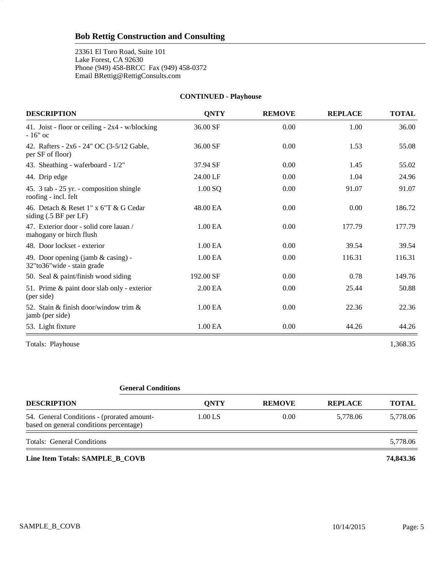23361 El Toro Road, Suite 101 Lake Forest, CA 92630 Phone (949) 458-BRCC Fax (949) 458-0372 Email BRettig@RettigConsults.com

5

| <b>DESCRIPTION</b>                                                | <b>QNTY</b> | <b>REMOVE</b> | <b>REPLACE</b> | <b>TOTAL</b> |
|-------------------------------------------------------------------|-------------|---------------|----------------|--------------|
| 41. Joist - floor or ceiling - 2x4 - w/blocking<br>$-16"$ oc      | 36.00 SF    | 0.00          | 1.00           | 36.00        |
| 42. Rafters - 2x6 - 24" OC (3-5/12 Gable,<br>per SF of floor)     | 36.00 SF    | 0.00          | 1.53           | 55.08        |
| 43. Sheathing - waferboard - 1/2"                                 | 37.94 SF    | 0.00          | 1.45           | 55.02        |
| 44. Drip edge                                                     | 24.00 LF    | 0.00          | 1.04           | 24.96        |
| 45. 3 tab - 25 yr. - composition shingle<br>roofing - incl. felt  | $1.00$ SQ   | 0.00          | 91.07          | 91.07        |
| 46. Detach & Reset 1" x 6"T & G Cedar<br>siding (.5 BF per LF)    | 48.00 EA    | 0.00          | 0.00           | 186.72       |
| 47. Exterior door - solid core lauan /<br>mahogany or birch flush | 1.00 EA     | 0.00          | 177.79         | 177.79       |
| 48. Door lockset - exterior                                       | 1.00 EA     | 0.00          | 39.54          | 39.54        |
| 49. Door opening (jamb & casing) -<br>32"to36"wide - stain grade  | 1.00 EA     | 0.00          | 116.31         | 116.31       |
| 50. Seal & paint/finish wood siding                               | 192.00 SF   | 0.00          | 0.78           | 149.76       |
| 51. Prime & paint door slab only - exterior<br>(per side)         | 2.00 EA     | 0.00          | 25.44          | 50.88        |
| 52. Stain & finish door/window trim $\&$<br>jamb (per side)       | 1.00 EA     | 0.00          | 22.36          | 22.36        |
| 53. Light fixture                                                 | 1.00 EA     | 0.00          | 44.26          | 44.26        |
| Totals: Playhouse                                                 |             |               |                | 1,368.35     |

**CONTINUED - Playhouse**

# **General Conditions**

| <b>DESCRIPTION</b>                                                                    | <b>ONTY</b> | <b>REMOVE</b> | <b>REPLACE</b> | <b>TOTAL</b> |
|---------------------------------------------------------------------------------------|-------------|---------------|----------------|--------------|
| 54. General Conditions - (prorated amount-<br>based on general conditions percentage) | 1.00 LS     | 0.00          | 5.778.06       | 5,778.06     |
| <b>Totals: General Conditions</b>                                                     |             |               |                | 5,778.06     |
|                                                                                       |             |               |                |              |

**Line Item Totals: SAMPLE\_B\_COVB 74,843.36**

SAMPLE\_B\_COVB Page: 5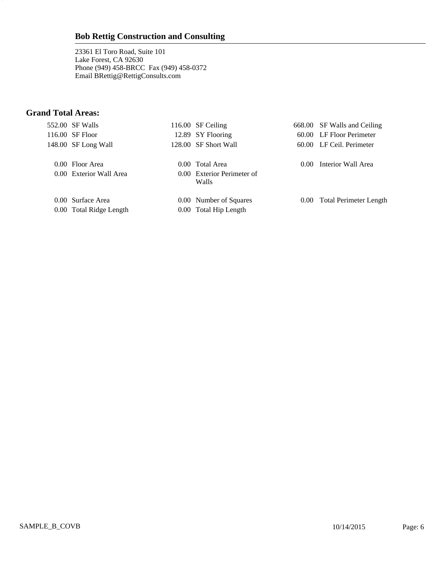23361 El Toro Road, Suite 101 Lake Forest, CA 92630 Phone (949) 458-BRCC Fax (949) 458-0372 Email BRettig@RettigConsults.com

### **Grand Total Areas:**

6

|  | 552.00 SF Walls                              | 116.00 SF Ceiling                               |                | 668.00 SF Walls and Ceiling   |
|--|----------------------------------------------|-------------------------------------------------|----------------|-------------------------------|
|  | 116.00 SF Floor                              | 12.89 SY Flooring                               |                | 60.00 LF Floor Perimeter      |
|  | 148.00 SF Long Wall                          | 128.00 SF Short Wall                            |                | 60.00 LF Ceil. Perimeter      |
|  | 0.00 Floor Area                              | 0.00 Total Area                                 | 0.00           | Interior Wall Area            |
|  | 0.00 Exterior Wall Area                      | 0.00 Exterior Perimeter of<br>Walls             |                |                               |
|  | 0.00 Surface Area<br>0.00 Total Ridge Length | 0.00 Number of Squares<br>0.00 Total Hip Length | $0.00^{\circ}$ | <b>Total Perimeter Length</b> |
|  |                                              |                                                 |                |                               |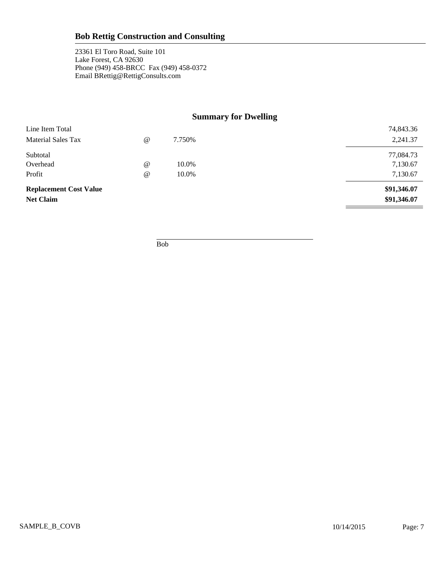23361 El Toro Road, Suite 101 Lake Forest, CA 92630 Phone (949) 458-BRCC Fax (949) 458-0372 Email BRettig@RettigConsults.com

### **Summary for Dwelling**

| <b>Replacement Cost Value</b><br><b>Net Claim</b> |            |        | \$91,346.07<br>\$91,346.07 |
|---------------------------------------------------|------------|--------|----------------------------|
| Profit                                            | $\omega$   | 10.0%  | 7,130.67                   |
| Overhead                                          | $\omega$   | 10.0%  | 7,130.67                   |
| Subtotal                                          |            |        | 77,084.73                  |
| Material Sales Tax                                | $^{\circ}$ | 7.750% | 2,241.37                   |
| Line Item Total                                   |            |        | 74,843.36                  |

Bob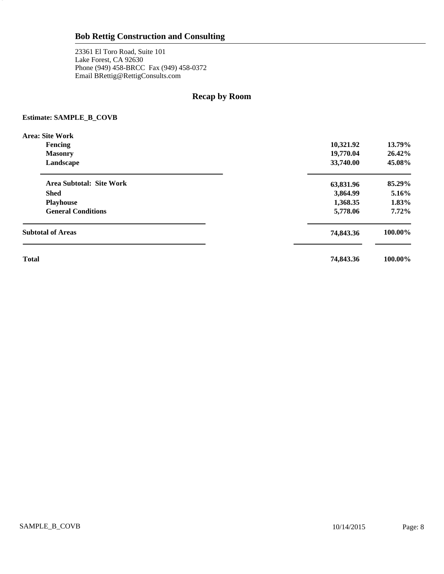23361 El Toro Road, Suite 101 Lake Forest, CA 92630 Phone (949) 458-BRCC Fax (949) 458-0372 Email BRettig@RettigConsults.com

### **Recap by Room**

#### **Estimate: SAMPLE\_B\_COVB**

8

| Area: Site Work           |           |          |
|---------------------------|-----------|----------|
| Fencing                   | 10,321.92 | 13.79%   |
| <b>Masonry</b>            | 19,770.04 | 26.42%   |
| Landscape                 | 33,740.00 | 45.08%   |
| Area Subtotal: Site Work  | 63,831.96 | 85.29%   |
| <b>Shed</b>               | 3,864.99  | $5.16\%$ |
| <b>Playhouse</b>          | 1,368.35  | 1.83%    |
| <b>General Conditions</b> | 5,778.06  | $7.72\%$ |
| <b>Subtotal of Areas</b>  | 74,843.36 | 100.00%  |
| <b>Total</b>              | 74,843.36 | 100.00%  |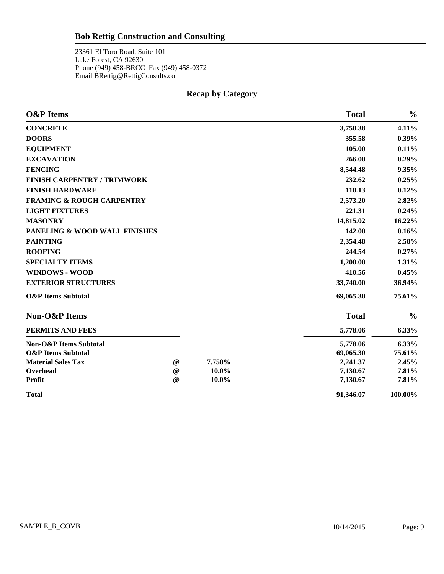23361 El Toro Road, Suite 101 Lake Forest, CA 92630 Phone (949) 458-BRCC Fax (949) 458-0372 Email BRettig@RettigConsults.com

9

### **Recap by Category**

| <b>O&amp;P</b> Items                 |                           |        | <b>Total</b> | $\frac{0}{0}$ |
|--------------------------------------|---------------------------|--------|--------------|---------------|
| <b>CONCRETE</b>                      |                           |        | 3,750.38     | 4.11%         |
| <b>DOORS</b>                         |                           |        | 355.58       | $0.39\%$      |
| <b>EQUIPMENT</b>                     |                           |        | 105.00       | 0.11%         |
| <b>EXCAVATION</b>                    |                           |        | 266.00       | 0.29%         |
| <b>FENCING</b>                       |                           |        | 8,544.48     | 9.35%         |
| <b>FINISH CARPENTRY / TRIMWORK</b>   |                           |        | 232.62       | 0.25%         |
| <b>FINISH HARDWARE</b>               |                           |        | 110.13       | 0.12%         |
| <b>FRAMING &amp; ROUGH CARPENTRY</b> |                           |        | 2,573.20     | 2.82%         |
| <b>LIGHT FIXTURES</b>                |                           |        | 221.31       | 0.24%         |
| <b>MASONRY</b>                       |                           |        | 14,815.02    | 16.22%        |
| PANELING & WOOD WALL FINISHES        |                           |        | 142.00       | 0.16%         |
| <b>PAINTING</b>                      |                           |        | 2,354.48     | 2.58%         |
| <b>ROOFING</b>                       |                           |        | 244.54       | $0.27\%$      |
| <b>SPECIALTY ITEMS</b>               |                           |        | 1,200.00     | 1.31%         |
| <b>WINDOWS - WOOD</b>                |                           |        | 410.56       | 0.45%         |
| <b>EXTERIOR STRUCTURES</b>           |                           |        | 33,740.00    | 36.94%        |
| <b>O&amp;P</b> Items Subtotal        |                           |        | 69,065.30    | 75.61%        |
| Non-O&P Items                        |                           |        | <b>Total</b> | $\frac{0}{0}$ |
| PERMITS AND FEES                     |                           |        | 5,778.06     | 6.33%         |
| <b>Non-O&amp;P</b> Items Subtotal    |                           |        | 5,778.06     | 6.33%         |
| <b>O&amp;P</b> Items Subtotal        |                           |        | 69,065.30    | 75.61%        |
| <b>Material Sales Tax</b>            | $\omega$                  | 7.750% | 2,241.37     | 2.45%         |
| Overhead                             | $\omega$                  | 10.0%  | 7,130.67     | 7.81%         |
| <b>Profit</b>                        | $^\text{\textregistered}$ | 10.0%  | 7,130.67     | 7.81%         |
| <b>Total</b>                         |                           |        | 91,346.07    | 100.00%       |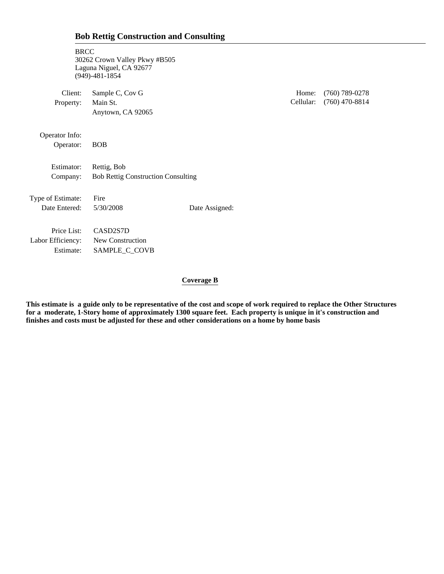|  |  |  |  | <b>Bob Rettig Construction and Consulting</b> |
|--|--|--|--|-----------------------------------------------|
|--|--|--|--|-----------------------------------------------|

| <b>BRCC</b><br>Laguna Niguel, CA 92677<br>$(949) - 481 - 1854$ |                |                                                                            |                                      |
|----------------------------------------------------------------|----------------|----------------------------------------------------------------------------|--------------------------------------|
| Sample C, Cov G                                                |                | Home:                                                                      | $(760)$ 789-0278<br>$(760)$ 470-8814 |
| Anytown, CA 92065                                              |                |                                                                            |                                      |
|                                                                |                |                                                                            |                                      |
| <b>BOB</b>                                                     |                |                                                                            |                                      |
| Rettig, Bob                                                    |                |                                                                            |                                      |
|                                                                |                |                                                                            |                                      |
| Fire                                                           |                |                                                                            |                                      |
| 5/30/2008                                                      | Date Assigned: |                                                                            |                                      |
| CASD2S7D                                                       |                |                                                                            |                                      |
| New Construction                                               |                |                                                                            |                                      |
| SAMPLE_C_COVB                                                  |                |                                                                            |                                      |
|                                                                | Main St.       | 30262 Crown Valley Pkwy #B505<br><b>Bob Rettig Construction Consulting</b> | Cellular:                            |

#### **Coverage B**

**This estimate is a guide only to be representative of the cost and scope of work required to replace the Other Structures for a moderate, 1-Story home of approximately 1300 square feet. Each property is unique in it's construction and finishes and costs must be adjusted for these and other considerations on a home by home basis**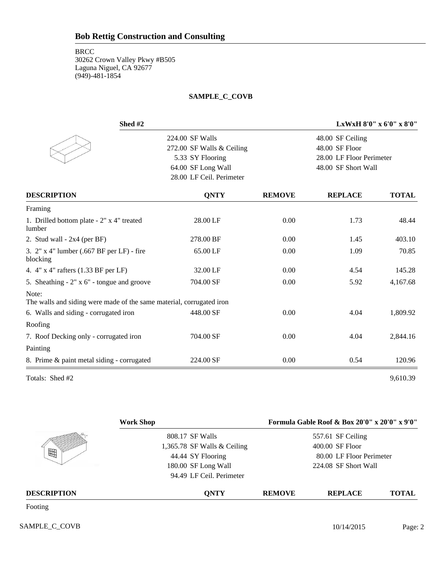#### **SAMPLE\_C\_COVB**

| Shed #2                                                                       |                           | LxWxH 8'0" x 6'0" x 8'0" |                          |              |  |
|-------------------------------------------------------------------------------|---------------------------|--------------------------|--------------------------|--------------|--|
|                                                                               | 224.00 SF Walls           |                          | 48.00 SF Ceiling         |              |  |
|                                                                               | 272.00 SF Walls & Ceiling |                          | 48.00 SF Floor           |              |  |
|                                                                               | 5.33 SY Flooring          |                          | 28.00 LF Floor Perimeter |              |  |
|                                                                               | 64.00 SF Long Wall        |                          | 48.00 SF Short Wall      |              |  |
|                                                                               | 28.00 LF Ceil. Perimeter  |                          |                          |              |  |
| <b>DESCRIPTION</b>                                                            | <b>QNTY</b>               | <b>REMOVE</b>            | <b>REPLACE</b>           | <b>TOTAL</b> |  |
| Framing                                                                       |                           |                          |                          |              |  |
| 1. Drilled bottom plate - 2" x 4" treated<br>lumber                           | 28.00 LF                  | 0.00                     | 1.73                     | 48.44        |  |
| 2. Stud wall - $2x4$ (per BF)                                                 | 278.00 BF                 | 0.00                     | 1.45                     | 403.10       |  |
| 3. 2" x 4" lumber (.667 BF per LF) - fire<br>blocking                         | 65.00 LF                  | 0.00                     | 1.09                     | 70.85        |  |
| 4. 4" x 4" rafters (1.33 BF per LF)                                           | 32.00 LF                  | 0.00                     | 4.54                     | 145.28       |  |
| 5. Sheathing $-2$ " x $6$ " - tongue and groove                               | 704.00 SF                 | 0.00                     | 5.92                     | 4,167.68     |  |
| Note:<br>The walls and siding were made of the same material, corrugated iron |                           |                          |                          |              |  |
| 6. Walls and siding - corrugated iron                                         | 448.00 SF                 | 0.00                     | 4.04                     | 1,809.92     |  |
| Roofing                                                                       |                           |                          |                          |              |  |
| 7. Roof Decking only - corrugated iron                                        | 704.00 SF                 | 0.00                     | 4.04                     | 2,844.16     |  |
| Painting                                                                      |                           |                          |                          |              |  |
| 8. Prime & paint metal siding - corrugated                                    | 224.00 SF                 | 0.00                     | 0.54                     | 120.96       |  |
| Totals: Shed #2                                                               |                           |                          |                          | 9,610.39     |  |

|                                      | <b>Work Shop</b>              |               | Formula Gable Roof & Box 20'0" x 20'0" x 9'0" |              |
|--------------------------------------|-------------------------------|---------------|-----------------------------------------------|--------------|
|                                      | 808.17 SF Walls               |               | 557.61 SF Ceiling                             |              |
|                                      | 1,365.78 SF Walls $&$ Ceiling |               | 400.00 SF Floor                               |              |
| 田                                    | 44.44 SY Flooring             |               | 80.00 LF Floor Perimeter                      |              |
|                                      | 180.00 SF Long Wall           |               | 224.08 SF Short Wall                          |              |
|                                      | 94.49 LF Ceil. Perimeter      |               |                                               |              |
| <b>DESCRIPTION</b>                   | <b>ONTY</b>                   | <b>REMOVE</b> | <b>REPLACE</b>                                | <b>TOTAL</b> |
| $\Gamma_{\alpha\alpha}$ tin $\alpha$ |                               |               |                                               |              |

Footing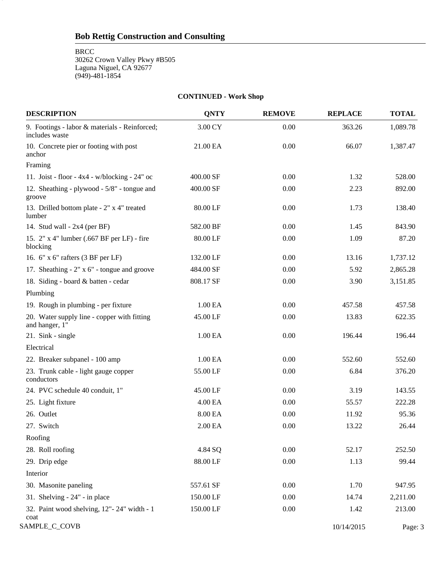BRCC

3

30262 Crown Valley Pkwy #B505 Laguna Niguel, CA 92677 (949)-481-1854

#### **CONTINUED - Work Shop**

| <b>DESCRIPTION</b>                                              | <b>QNTY</b> | <b>REMOVE</b> | <b>REPLACE</b> | <b>TOTAL</b> |
|-----------------------------------------------------------------|-------------|---------------|----------------|--------------|
| 9. Footings - labor & materials - Reinforced;<br>includes waste | 3.00 CY     | 0.00          | 363.26         | 1,089.78     |
| 10. Concrete pier or footing with post<br>anchor                | 21.00 EA    | 0.00          | 66.07          | 1,387.47     |
| Framing                                                         |             |               |                |              |
| 11. Joist - floor - $4x4 - w/blocking - 24"$ oc                 | 400.00 SF   | 0.00          | 1.32           | 528.00       |
| 12. Sheathing - plywood - 5/8" - tongue and<br>groove           | 400.00 SF   | 0.00          | 2.23           | 892.00       |
| 13. Drilled bottom plate - 2" x 4" treated<br>lumber            | 80.00 LF    | 0.00          | 1.73           | 138.40       |
| 14. Stud wall - $2x4$ (per BF)                                  | 582.00 BF   | 0.00          | 1.45           | 843.90       |
| 15. 2" x 4" lumber (.667 BF per LF) - fire<br>blocking          | 80.00 LF    | 0.00          | 1.09           | 87.20        |
| 16. 6" x 6" rafters (3 BF per LF)                               | 132.00 LF   | 0.00          | 13.16          | 1,737.12     |
| 17. Sheathing $-2$ " x 6" - tongue and groove                   | 484.00 SF   | 0.00          | 5.92           | 2,865.28     |
| 18. Siding - board & batten - cedar                             | 808.17 SF   | 0.00          | 3.90           | 3,151.85     |
| Plumbing                                                        |             |               |                |              |
| 19. Rough in plumbing - per fixture                             | 1.00 EA     | 0.00          | 457.58         | 457.58       |
| 20. Water supply line - copper with fitting<br>and hanger, 1"   | 45.00 LF    | 0.00          | 13.83          | 622.35       |
| 21. Sink - single                                               | 1.00 EA     | 0.00          | 196.44         | 196.44       |
| Electrical                                                      |             |               |                |              |
| 22. Breaker subpanel - 100 amp                                  | 1.00 EA     | 0.00          | 552.60         | 552.60       |
| 23. Trunk cable - light gauge copper<br>conductors              | 55.00 LF    | 0.00          | 6.84           | 376.20       |
| 24. PVC schedule 40 conduit, 1"                                 | 45.00 LF    | 0.00          | 3.19           | 143.55       |
| 25. Light fixture                                               | 4.00 EA     | 0.00          | 55.57          | 222.28       |
| 26. Outlet                                                      | 8.00 EA     | 0.00          | 11.92          | 95.36        |
| 27. Switch                                                      | 2.00 EA     | 0.00          | 13.22          | 26.44        |
| Roofing                                                         |             |               |                |              |
| 28. Roll roofing                                                | 4.84 SQ     | $0.00\,$      | 52.17          | 252.50       |
| 29. Drip edge                                                   | 88.00 LF    | 0.00          | 1.13           | 99.44        |
| Interior                                                        |             |               |                |              |
| 30. Masonite paneling                                           | 557.61 SF   | 0.00          | 1.70           | 947.95       |
| 31. Shelving $-24$ " $-$ in place                               | 150.00 LF   | 0.00          | 14.74          | 2,211.00     |
| 32. Paint wood shelving, 12"- 24" width - 1<br>coat             | 150.00 LF   | 0.00          | 1.42           | 213.00       |
| SAMPLE_C_COVB                                                   |             |               | 10/14/2015     | Page: 3      |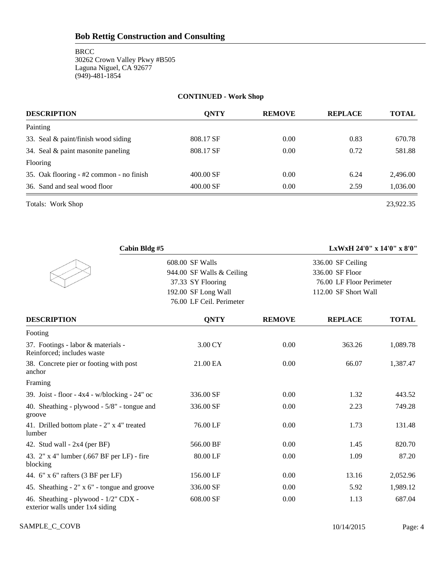#### **CONTINUED - Work Shop**

| <b>DESCRIPTION</b>                       | <b>ONTY</b> | <b>REMOVE</b> | <b>REPLACE</b> | <b>TOTAL</b> |
|------------------------------------------|-------------|---------------|----------------|--------------|
| Painting                                 |             |               |                |              |
| 33. Seal & paint/finish wood siding      | 808.17 SF   | 0.00          | 0.83           | 670.78       |
| 34. Seal & paint masonite paneling       | 808.17 SF   | 0.00          | 0.72           | 581.88       |
| Flooring                                 |             |               |                |              |
| 35. Oak flooring - #2 common - no finish | $400.00$ SF | 0.00          | 6.24           | 2.496.00     |
| 36. Sand and seal wood floor             | $400.00$ SF | 0.00          | 2.59           | 1,036.00     |

Totals: Work Shop 23,922.35

| Cabin Bldg #5                                                           |                                                                                                                      |               | LxWxH 24'0" x 14'0" x 8'0"                                                               |              |
|-------------------------------------------------------------------------|----------------------------------------------------------------------------------------------------------------------|---------------|------------------------------------------------------------------------------------------|--------------|
|                                                                         | 608.00 SF Walls<br>944.00 SF Walls & Ceiling<br>37.33 SY Flooring<br>192.00 SF Long Wall<br>76.00 LF Ceil. Perimeter |               | 336.00 SF Ceiling<br>336.00 SF Floor<br>76.00 LF Floor Perimeter<br>112.00 SF Short Wall |              |
| <b>DESCRIPTION</b>                                                      | <b>ONTY</b>                                                                                                          | <b>REMOVE</b> | <b>REPLACE</b>                                                                           | <b>TOTAL</b> |
| Footing                                                                 |                                                                                                                      |               |                                                                                          |              |
| 37. Footings - labor & materials -<br>Reinforced; includes waste        | 3.00 CY                                                                                                              | 0.00          | 363.26                                                                                   | 1,089.78     |
| 38. Concrete pier or footing with post<br>anchor                        | 21.00 EA                                                                                                             | 0.00          | 66.07                                                                                    | 1,387.47     |
| Framing                                                                 |                                                                                                                      |               |                                                                                          |              |
| 39. Joist - floor - $4x4 - w/b$ locking - $24"$ oc                      | 336.00 SF                                                                                                            | 0.00          | 1.32                                                                                     | 443.52       |
| 40. Sheathing - plywood - 5/8" - tongue and<br>groove                   | 336.00 SF                                                                                                            | 0.00          | 2.23                                                                                     | 749.28       |
| 41. Drilled bottom plate - 2" x 4" treated<br>lumber                    | 76.00 LF                                                                                                             | 0.00          | 1.73                                                                                     | 131.48       |
| 42. Stud wall - $2x4$ (per BF)                                          | 566.00 BF                                                                                                            | 0.00          | 1.45                                                                                     | 820.70       |
| 43. 2" x 4" lumber (.667 BF per LF) - fire<br>blocking                  | 80.00 LF                                                                                                             | 0.00          | 1.09                                                                                     | 87.20        |
| 44. 6" x 6" rafters (3 BF per LF)                                       | 156.00 LF                                                                                                            | 0.00          | 13.16                                                                                    | 2,052.96     |
| 45. Sheathing $-2$ " x 6" - tongue and groove                           | 336.00 SF                                                                                                            | 0.00          | 5.92                                                                                     | 1,989.12     |
| 46. Sheathing - plywood - 1/2" CDX -<br>exterior walls under 1x4 siding | 608.00 SF                                                                                                            | 0.00          | 1.13                                                                                     | 687.04       |

SAMPLE\_C\_COVB Page: 4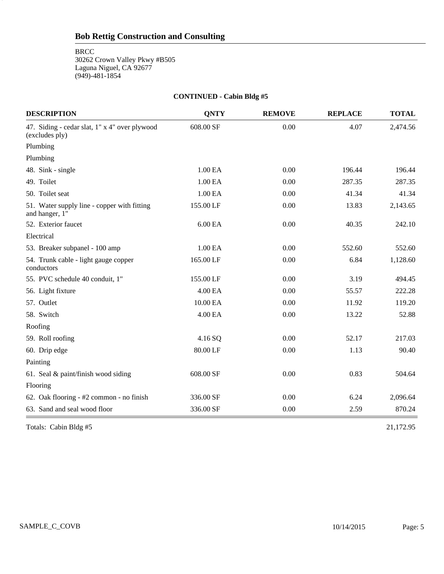**BRCC** 

5

30262 Crown Valley Pkwy #B505 Laguna Niguel, CA 92677 (949)-481-1854

#### **CONTINUED - Cabin Bldg #5**

| <b>DESCRIPTION</b>                                              | <b>QNTY</b> | <b>REMOVE</b> | <b>REPLACE</b> | <b>TOTAL</b> |
|-----------------------------------------------------------------|-------------|---------------|----------------|--------------|
| 47. Siding - cedar slat, 1" x 4" over plywood<br>(excludes ply) | 608.00 SF   | 0.00          | 4.07           | 2,474.56     |
| Plumbing                                                        |             |               |                |              |
| Plumbing                                                        |             |               |                |              |
| 48. Sink - single                                               | 1.00 EA     | 0.00          | 196.44         | 196.44       |
| 49. Toilet                                                      | 1.00 EA     | 0.00          | 287.35         | 287.35       |
| 50. Toilet seat                                                 | 1.00 EA     | 0.00          | 41.34          | 41.34        |
| 51. Water supply line - copper with fitting<br>and hanger, 1"   | 155.00 LF   | 0.00          | 13.83          | 2,143.65     |
| 52. Exterior faucet                                             | 6.00 EA     | 0.00          | 40.35          | 242.10       |
| Electrical                                                      |             |               |                |              |
| 53. Breaker subpanel - 100 amp                                  | 1.00 EA     | 0.00          | 552.60         | 552.60       |
| 54. Trunk cable - light gauge copper<br>conductors              | 165.00 LF   | 0.00          | 6.84           | 1,128.60     |
| 55. PVC schedule 40 conduit, 1"                                 | 155.00 LF   | 0.00          | 3.19           | 494.45       |
| 56. Light fixture                                               | 4.00 EA     | 0.00          | 55.57          | 222.28       |
| 57. Outlet                                                      | 10.00 EA    | 0.00          | 11.92          | 119.20       |
| 58. Switch                                                      | 4.00 EA     | 0.00          | 13.22          | 52.88        |
| Roofing                                                         |             |               |                |              |
| 59. Roll roofing                                                | 4.16 SQ     | 0.00          | 52.17          | 217.03       |
| 60. Drip edge                                                   | 80.00 LF    | 0.00          | 1.13           | 90.40        |
| Painting                                                        |             |               |                |              |
| 61. Seal $&$ paint/finish wood siding                           | 608.00 SF   | 0.00          | 0.83           | 504.64       |
| Flooring                                                        |             |               |                |              |
| 62. Oak flooring - #2 common - no finish                        | 336.00 SF   | 0.00          | 6.24           | 2,096.64     |
| 63. Sand and seal wood floor                                    | 336.00 SF   | 0.00          | 2.59           | 870.24       |

Totals: Cabin Bldg #5 21,172.95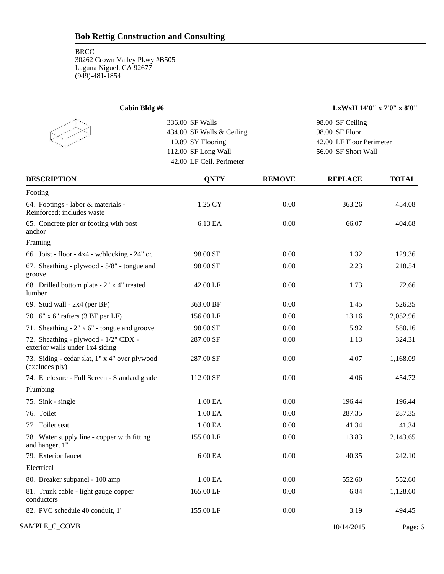6

| Cabin Bldg #6                                                           |                           |               | LxWxH 14'0" x 7'0" x 8'0" |              |  |  |
|-------------------------------------------------------------------------|---------------------------|---------------|---------------------------|--------------|--|--|
|                                                                         | 336.00 SF Walls           |               | 98.00 SF Ceiling          |              |  |  |
|                                                                         | 434.00 SF Walls & Ceiling |               | 98.00 SF Floor            |              |  |  |
|                                                                         | 10.89 SY Flooring         |               | 42.00 LF Floor Perimeter  |              |  |  |
|                                                                         | 112.00 SF Long Wall       |               | 56.00 SF Short Wall       |              |  |  |
|                                                                         | 42.00 LF Ceil. Perimeter  |               |                           |              |  |  |
| <b>DESCRIPTION</b>                                                      | <b>QNTY</b>               | <b>REMOVE</b> | <b>REPLACE</b>            | <b>TOTAL</b> |  |  |
| Footing                                                                 |                           |               |                           |              |  |  |
| 64. Footings - labor & materials -<br>Reinforced; includes waste        | 1.25 CY                   | 0.00          | 363.26                    | 454.08       |  |  |
| 65. Concrete pier or footing with post<br>anchor                        | 6.13 EA                   | 0.00          | 66.07                     | 404.68       |  |  |
| Framing                                                                 |                           |               |                           |              |  |  |
| 66. Joist - floor - $4x4 - w/blocking - 24"$ oc                         | 98.00 SF                  | 0.00          | 1.32                      | 129.36       |  |  |
| 67. Sheathing - plywood - 5/8" - tongue and<br>groove                   | 98.00 SF                  | 0.00          | 2.23                      | 218.54       |  |  |
| 68. Drilled bottom plate - 2" x 4" treated<br>lumber                    | 42.00 LF                  | 0.00          | 1.73                      | 72.66        |  |  |
| 69. Stud wall - $2x4$ (per BF)                                          | 363.00 BF                 | 0.00          | 1.45                      | 526.35       |  |  |
| 70. 6" x 6" rafters (3 BF per LF)                                       | 156.00 LF                 | 0.00          | 13.16                     | 2,052.96     |  |  |
| 71. Sheathing - 2" x 6" - tongue and groove                             | 98.00 SF                  | 0.00          | 5.92                      | 580.16       |  |  |
| 72. Sheathing - plywood - 1/2" CDX -<br>exterior walls under 1x4 siding | 287.00 SF                 | 0.00          | 1.13                      | 324.31       |  |  |
| 73. Siding - cedar slat, 1" x 4" over plywood<br>(excludes ply)         | 287.00 SF                 | 0.00          | 4.07                      | 1,168.09     |  |  |
| 74. Enclosure - Full Screen - Standard grade                            | 112.00 SF                 | 0.00          | 4.06                      | 454.72       |  |  |
| Plumbing                                                                |                           |               |                           |              |  |  |
| 75. Sink - single                                                       | 1.00 EA                   | 0.00          | 196.44                    | 196.44       |  |  |
| 76. Toilet                                                              | 1.00 EA                   | 0.00          | 287.35                    | 287.35       |  |  |
| 77. Toilet seat                                                         | 1.00 EA                   | 0.00          | 41.34                     | 41.34        |  |  |
| 78. Water supply line - copper with fitting<br>and hanger, 1"           | 155.00 LF                 | 0.00          | 13.83                     | 2,143.65     |  |  |
| 79. Exterior faucet                                                     | $6.00\,\mathrm{EA}$       | 0.00          | 40.35                     | 242.10       |  |  |
| Electrical                                                              |                           |               |                           |              |  |  |
| 80. Breaker subpanel - 100 amp                                          | 1.00 EA                   | 0.00          | 552.60                    | 552.60       |  |  |
| 81. Trunk cable - light gauge copper<br>conductors                      | 165.00 LF                 | 0.00          | 6.84                      | 1,128.60     |  |  |
| 82. PVC schedule 40 conduit, 1"                                         | 155.00 LF                 | 0.00          | 3.19                      | 494.45       |  |  |
| SAMPLE_C_COVB                                                           |                           |               | 10/14/2015                | Page: 6      |  |  |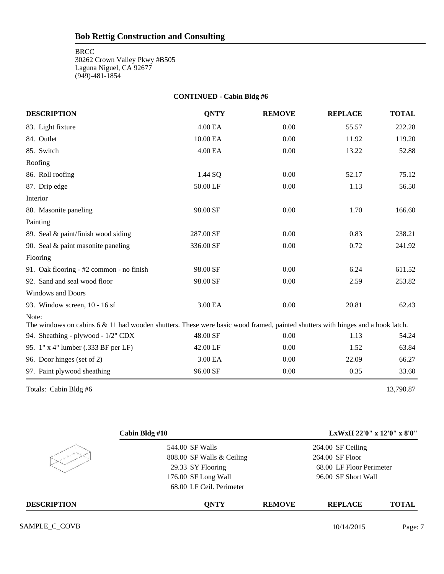#### **CONTINUED - Cabin Bldg #6**

| <b>DESCRIPTION</b>                                                                                                                         | <b>QNTY</b> | <b>REMOVE</b> | <b>REPLACE</b> | <b>TOTAL</b> |
|--------------------------------------------------------------------------------------------------------------------------------------------|-------------|---------------|----------------|--------------|
| 83. Light fixture                                                                                                                          | 4.00 EA     | 0.00          | 55.57          | 222.28       |
| 84. Outlet                                                                                                                                 | 10.00 EA    | 0.00          | 11.92          | 119.20       |
| 85. Switch                                                                                                                                 | 4.00 EA     | 0.00          | 13.22          | 52.88        |
| Roofing                                                                                                                                    |             |               |                |              |
| 86. Roll roofing                                                                                                                           | 1.44 SQ     | 0.00          | 52.17          | 75.12        |
| 87. Drip edge                                                                                                                              | 50.00 LF    | 0.00          | 1.13           | 56.50        |
| Interior                                                                                                                                   |             |               |                |              |
| 88. Masonite paneling                                                                                                                      | 98.00 SF    | 0.00          | 1.70           | 166.60       |
| Painting                                                                                                                                   |             |               |                |              |
| 89. Seal & paint/finish wood siding                                                                                                        | 287.00 SF   | 0.00          | 0.83           | 238.21       |
| 90. Seal & paint masonite paneling                                                                                                         | 336.00 SF   | 0.00          | 0.72           | 241.92       |
| Flooring                                                                                                                                   |             |               |                |              |
| 91. Oak flooring - #2 common - no finish                                                                                                   | 98.00 SF    | 0.00          | 6.24           | 611.52       |
| 92. Sand and seal wood floor                                                                                                               | 98.00 SF    | 0.00          | 2.59           | 253.82       |
| <b>Windows and Doors</b>                                                                                                                   |             |               |                |              |
| 93. Window screen, 10 - 16 sf                                                                                                              | 3.00 EA     | 0.00          | 20.81          | 62.43        |
| Note:<br>The windows on cabins $6 \& 11$ had wooden shutters. These were basic wood framed, painted shutters with hinges and a hook latch. |             |               |                |              |
| 94. Sheathing - plywood - 1/2" CDX                                                                                                         | 48.00 SF    | 0.00          | 1.13           | 54.24        |
| 95. 1" x 4" lumber (.333 BF per LF)                                                                                                        | 42.00 LF    | 0.00          | 1.52           | 63.84        |
| 96. Door hinges (set of 2)                                                                                                                 | 3.00 EA     | 0.00          | 22.09          | 66.27        |
| 97. Paint plywood sheathing                                                                                                                | 96.00 SF    | 0.00          | 0.35           | 33.60        |

Totals: Cabin Bldg #6 13,790.87

|                    | Cabin Bldg #10            |               | LxWxH 22'0" x 12'0" x 8'0" |              |
|--------------------|---------------------------|---------------|----------------------------|--------------|
|                    | 544.00 SF Walls           |               | 264.00 SF Ceiling          |              |
|                    | 808.00 SF Walls & Ceiling |               | 264.00 SF Floor            |              |
|                    | 29.33 SY Flooring         |               | 68.00 LF Floor Perimeter   |              |
|                    | 176.00 SF Long Wall       |               | 96.00 SF Short Wall        |              |
|                    | 68.00 LF Ceil. Perimeter  |               |                            |              |
| <b>DESCRIPTION</b> | <b>ONTY</b>               | <b>REMOVE</b> | <b>REPLACE</b>             | <b>TOTAL</b> |

SAMPLE\_C\_COVB Page: 7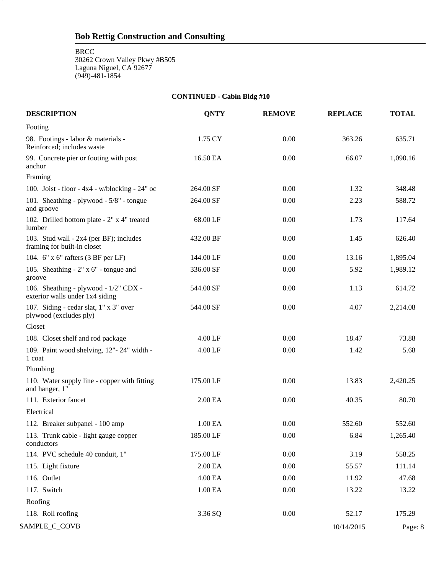BRCC

8

30262 Crown Valley Pkwy #B505 Laguna Niguel, CA 92677 (949)-481-1854

#### **CONTINUED - Cabin Bldg #10**

| <b>DESCRIPTION</b>                                                       | <b>QNTY</b>         | <b>REMOVE</b> | <b>REPLACE</b> | <b>TOTAL</b> |
|--------------------------------------------------------------------------|---------------------|---------------|----------------|--------------|
| Footing                                                                  |                     |               |                |              |
| 98. Footings - labor & materials -<br>Reinforced; includes waste         | 1.75 CY             | 0.00          | 363.26         | 635.71       |
| 99. Concrete pier or footing with post<br>anchor                         | 16.50 EA            | 0.00          | 66.07          | 1,090.16     |
| Framing                                                                  |                     |               |                |              |
| 100. Joist - floor - $4x4 - w/blocking - 24"$ oc                         | 264.00 SF           | 0.00          | 1.32           | 348.48       |
| 101. Sheathing - plywood - 5/8" - tongue<br>and groove                   | 264.00 SF           | 0.00          | 2.23           | 588.72       |
| 102. Drilled bottom plate - 2" x 4" treated<br>lumber                    | 68.00 LF            | 0.00          | 1.73           | 117.64       |
| 103. Stud wall - 2x4 (per BF); includes<br>framing for built-in closet   | 432.00 BF           | 0.00          | 1.45           | 626.40       |
| 104. 6" x 6" rafters (3 BF per LF)                                       | 144.00 LF           | 0.00          | 13.16          | 1,895.04     |
| 105. Sheathing $-2$ " x 6" - tongue and<br>groove                        | 336.00 SF           | 0.00          | 5.92           | 1,989.12     |
| 106. Sheathing - plywood - 1/2" CDX -<br>exterior walls under 1x4 siding | 544.00 SF           | 0.00          | 1.13           | 614.72       |
| 107. Siding - cedar slat, 1" x 3" over<br>plywood (excludes ply)         | 544.00 SF           | 0.00          | 4.07           | 2,214.08     |
| Closet                                                                   |                     |               |                |              |
| 108. Closet shelf and rod package                                        | $4.00$ LF           | 0.00          | 18.47          | 73.88        |
| 109. Paint wood shelving, 12"-24" width -<br>1 coat                      | 4.00 LF             | 0.00          | 1.42           | 5.68         |
| Plumbing                                                                 |                     |               |                |              |
| 110. Water supply line - copper with fitting<br>and hanger, 1"           | 175.00 LF           | 0.00          | 13.83          | 2,420.25     |
| 111. Exterior faucet                                                     | 2.00 EA             | 0.00          | 40.35          | 80.70        |
| Electrical                                                               |                     |               |                |              |
| 112. Breaker subpanel - 100 amp                                          | 1.00 EA             | 0.00          | 552.60         | 552.60       |
| 113. Trunk cable - light gauge copper<br>conductors                      | 185.00 LF           | 0.00          | 6.84           | 1,265.40     |
| 114. PVC schedule 40 conduit, 1"                                         | 175.00 LF           | 0.00          | 3.19           | 558.25       |
| 115. Light fixture                                                       | $2.00\,\mathrm{EA}$ | 0.00          | 55.57          | 111.14       |
| 116. Outlet                                                              | 4.00 EA             | 0.00          | 11.92          | 47.68        |
| 117. Switch                                                              | 1.00 EA             | 0.00          | 13.22          | 13.22        |
| Roofing                                                                  |                     |               |                |              |
| 118. Roll roofing                                                        | 3.36 SQ             | 0.00          | 52.17          | 175.29       |
| SAMPLE_C_COVB                                                            |                     |               | 10/14/2015     | Page: 8      |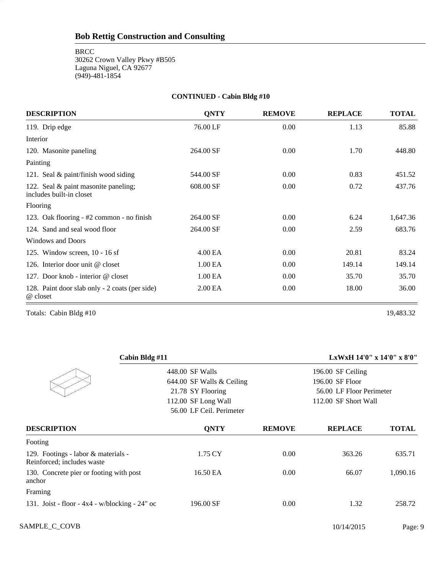#### **CONTINUED - Cabin Bldg #10**

| <b>DESCRIPTION</b>                                               | <b>ONTY</b>         | <b>REMOVE</b> | <b>REPLACE</b> | <b>TOTAL</b> |
|------------------------------------------------------------------|---------------------|---------------|----------------|--------------|
| 119. Drip edge                                                   | 76.00 LF            | 0.00          | 1.13           | 85.88        |
| Interior                                                         |                     |               |                |              |
| 120. Masonite paneling                                           | 264.00 SF           | 0.00          | 1.70           | 448.80       |
| Painting                                                         |                     |               |                |              |
| 121. Seal & paint/finish wood siding                             | 544.00 SF           | 0.00          | 0.83           | 451.52       |
| 122. Seal & paint masonite paneling;<br>includes built-in closet | 608.00 SF           | 0.00          | 0.72           | 437.76       |
| Flooring                                                         |                     |               |                |              |
| 123. Oak flooring - #2 common - no finish                        | 264.00 SF           | 0.00          | 6.24           | 1,647.36     |
| 124. Sand and seal wood floor                                    | 264.00 SF           | 0.00          | 2.59           | 683.76       |
| <b>Windows and Doors</b>                                         |                     |               |                |              |
| 125. Window screen, 10 - 16 sf                                   | 4.00 EA             | 0.00          | 20.81          | 83.24        |
| 126. Interior door unit @ closet                                 | 1.00 <sub>E</sub> A | 0.00          | 149.14         | 149.14       |
| 127. Door knob - interior @ closet                               | 1.00 <sub>E</sub> A | 0.00          | 35.70          | 35.70        |
| 128. Paint door slab only - 2 coats (per side)<br>@ closet       | 2.00 EA             | 0.00          | 18.00          | 36.00        |

Totals: Cabin Bldg #10 19,483.32

9

| Cabin Bldg #11                                                    |                           |               | LxWxH $14'0''$ x $14'0''$ x $8'0''$ |              |
|-------------------------------------------------------------------|---------------------------|---------------|-------------------------------------|--------------|
|                                                                   | 448.00 SF Walls           |               | 196.00 SF Ceiling                   |              |
|                                                                   | 644.00 SF Walls & Ceiling |               | 196.00 SF Floor                     |              |
|                                                                   | 21.78 SY Flooring         |               | 56.00 LF Floor Perimeter            |              |
|                                                                   | 112.00 SF Long Wall       |               | 112.00 SF Short Wall                |              |
|                                                                   | 56.00 LF Ceil. Perimeter  |               |                                     |              |
| <b>DESCRIPTION</b>                                                | <b>ONTY</b>               | <b>REMOVE</b> | <b>REPLACE</b>                      | <b>TOTAL</b> |
| Footing                                                           |                           |               |                                     |              |
| 129. Footings - labor & materials -<br>Reinforced; includes waste | 1.75 CY                   | 0.00          | 363.26                              | 635.71       |
| 130. Concrete pier or footing with post<br>anchor                 | 16.50 EA                  | 0.00          | 66.07                               | 1,090.16     |
| Framing                                                           |                           |               |                                     |              |
| 131. Joist - floor - $4x4 - w/blocking - 24"$ oc                  | 196.00 SF                 | 0.00          | 1.32                                | 258.72       |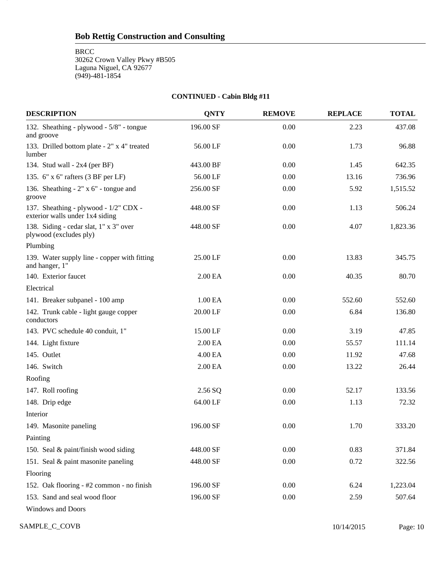**BRCC** 

10

30262 Crown Valley Pkwy #B505 Laguna Niguel, CA 92677 (949)-481-1854

#### **CONTINUED - Cabin Bldg #11**

| <b>DESCRIPTION</b>                                                       | <b>QNTY</b> | <b>REMOVE</b> | <b>REPLACE</b> | <b>TOTAL</b> |
|--------------------------------------------------------------------------|-------------|---------------|----------------|--------------|
| 132. Sheathing - plywood - 5/8" - tongue<br>and groove                   | 196.00 SF   | 0.00          | 2.23           | 437.08       |
| 133. Drilled bottom plate - 2" x 4" treated<br>lumber                    | 56.00 LF    | 0.00          | 1.73           | 96.88        |
| 134. Stud wall - $2x4$ (per BF)                                          | 443.00 BF   | 0.00          | 1.45           | 642.35       |
| 135. 6" x 6" rafters (3 BF per LF)                                       | 56.00 LF    | 0.00          | 13.16          | 736.96       |
| 136. Sheathing $-2$ " x 6" - tongue and<br>groove                        | 256.00 SF   | 0.00          | 5.92           | 1,515.52     |
| 137. Sheathing - plywood - 1/2" CDX -<br>exterior walls under 1x4 siding | 448.00 SF   | 0.00          | 1.13           | 506.24       |
| 138. Siding - cedar slat, 1" x 3" over<br>plywood (excludes ply)         | 448.00 SF   | 0.00          | 4.07           | 1,823.36     |
| Plumbing                                                                 |             |               |                |              |
| 139. Water supply line - copper with fitting<br>and hanger, 1"           | 25.00 LF    | 0.00          | 13.83          | 345.75       |
| 140. Exterior faucet                                                     | 2.00 EA     | 0.00          | 40.35          | 80.70        |
| Electrical                                                               |             |               |                |              |
| 141. Breaker subpanel - 100 amp                                          | 1.00 EA     | 0.00          | 552.60         | 552.60       |
| 142. Trunk cable - light gauge copper<br>conductors                      | 20.00 LF    | 0.00          | 6.84           | 136.80       |
| 143. PVC schedule 40 conduit, 1"                                         | 15.00 LF    | 0.00          | 3.19           | 47.85        |
| 144. Light fixture                                                       | 2.00 EA     | 0.00          | 55.57          | 111.14       |
| 145. Outlet                                                              | 4.00 EA     | 0.00          | 11.92          | 47.68        |
| 146. Switch                                                              | 2.00 EA     | 0.00          | 13.22          | 26.44        |
| Roofing                                                                  |             |               |                |              |
| 147. Roll roofing                                                        | 2.56 SQ     | 0.00          | 52.17          | 133.56       |
| 148. Drip edge                                                           | 64.00 LF    | 0.00          | 1.13           | 72.32        |
| Interior                                                                 |             |               |                |              |
| 149. Masonite paneling                                                   | 196.00 SF   | 0.00          | 1.70           | 333.20       |
| Painting                                                                 |             |               |                |              |
| 150. Seal & paint/finish wood siding                                     | 448.00 SF   | 0.00          | 0.83           | 371.84       |
| 151. Seal & paint masonite paneling                                      | 448.00 SF   | 0.00          | 0.72           | 322.56       |
| Flooring                                                                 |             |               |                |              |
| 152. Oak flooring - #2 common - no finish                                | 196.00 SF   | 0.00          | 6.24           | 1,223.04     |
| 153. Sand and seal wood floor                                            | 196.00 SF   | 0.00          | 2.59           | 507.64       |
| <b>Windows and Doors</b>                                                 |             |               |                |              |

SAMPLE\_C\_COVB Page: 10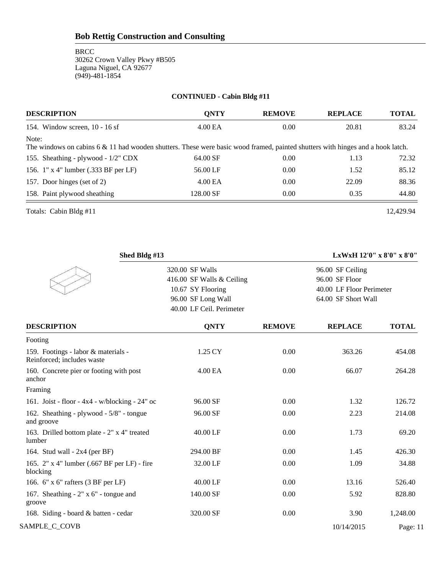#### **CONTINUED - Cabin Bldg #11**

| <b>DESCRIPTION</b>                                                                                                                      | <b>ONTY</b> | <b>REMOVE</b> | <b>REPLACE</b> | <b>TOTAL</b> |
|-----------------------------------------------------------------------------------------------------------------------------------------|-------------|---------------|----------------|--------------|
| 154. Window screen, $10 - 16$ sf                                                                                                        | 4.00 EA     | 0.00          | 20.81          | 83.24        |
| Note:<br>The windows on cabins 6 & 11 had wooden shutters. These were basic wood framed, painted shutters with hinges and a hook latch. |             |               |                |              |
| 155. Sheathing - plywood - 1/2" CDX                                                                                                     | 64.00 SF    | 0.00          | 1.13           | 72.32        |
| 156. 1" x 4" lumber (.333 BF per LF)                                                                                                    | 56.00 LF    | 0.00          | 1.52           | 85.12        |
| 157. Door hinges (set of 2)                                                                                                             | $4.00E$ A   | 0.00          | 22.09          | 88.36        |
| 158. Paint plywood sheathing                                                                                                            | 128.00 SF   | 0.00          | 0.35           | 44.80        |

Totals: Cabin Bldg #11 12,429.94

| Shed Bldg #13                                                     |                           |               |                          | LxWxH 12'0" x 8'0" x 8'0" |
|-------------------------------------------------------------------|---------------------------|---------------|--------------------------|---------------------------|
|                                                                   | 320.00 SF Walls           |               | 96.00 SF Ceiling         |                           |
|                                                                   | 416.00 SF Walls & Ceiling |               | 96.00 SF Floor           |                           |
|                                                                   | 10.67 SY Flooring         |               | 40.00 LF Floor Perimeter |                           |
|                                                                   | 96.00 SF Long Wall        |               | 64.00 SF Short Wall      |                           |
|                                                                   | 40.00 LF Ceil. Perimeter  |               |                          |                           |
| <b>DESCRIPTION</b>                                                | <b>QNTY</b>               | <b>REMOVE</b> | <b>REPLACE</b>           | <b>TOTAL</b>              |
| Footing                                                           |                           |               |                          |                           |
| 159. Footings - labor & materials -<br>Reinforced; includes waste | 1.25 CY                   | 0.00          | 363.26                   | 454.08                    |
| 160. Concrete pier or footing with post<br>anchor                 | 4.00 EA                   | 0.00          | 66.07                    | 264.28                    |
| Framing                                                           |                           |               |                          |                           |
| 161. Joist - floor - $4x4 - w/blocking - 24"$ oc                  | 96.00 SF                  | 0.00          | 1.32                     | 126.72                    |
| 162. Sheathing - plywood - 5/8" - tongue<br>and groove            | 96.00 SF                  | 0.00          | 2.23                     | 214.08                    |
| 163. Drilled bottom plate - 2" x 4" treated<br>lumber             | 40.00 LF                  | 0.00          | 1.73                     | 69.20                     |
| 164. Stud wall - $2x4$ (per BF)                                   | 294.00 BF                 | 0.00          | 1.45                     | 426.30                    |
| 165. 2" x 4" lumber (.667 BF per LF) - fire<br>blocking           | 32.00 LF                  | 0.00          | 1.09                     | 34.88                     |
| 166. 6" x 6" rafters (3 BF per LF)                                | 40.00 LF                  | 0.00          | 13.16                    | 526.40                    |
| 167. Sheathing $-2$ " x 6" - tongue and<br>groove                 | 140.00 SF                 | 0.00          | 5.92                     | 828.80                    |
| 168. Siding - board & batten - cedar                              | 320.00 SF                 | 0.00          | 3.90                     | 1,248.00                  |
| SAMPLE_C_COVB                                                     |                           |               | 10/14/2015               | Page: $11$                |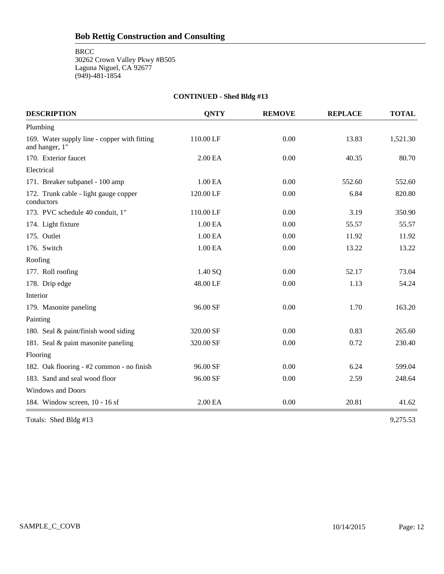#### **CONTINUED - Shed Bldg #13**

| <b>DESCRIPTION</b>                                             | <b>QNTY</b> | <b>REMOVE</b> | <b>REPLACE</b> | <b>TOTAL</b> |
|----------------------------------------------------------------|-------------|---------------|----------------|--------------|
| Plumbing                                                       |             |               |                |              |
| 169. Water supply line - copper with fitting<br>and hanger, 1" | 110.00 LF   | 0.00          | 13.83          | 1,521.30     |
| 170. Exterior faucet                                           | 2.00 EA     | 0.00          | 40.35          | 80.70        |
| Electrical                                                     |             |               |                |              |
| 171. Breaker subpanel - 100 amp                                | 1.00 EA     | 0.00          | 552.60         | 552.60       |
| 172. Trunk cable - light gauge copper<br>conductors            | 120.00 LF   | 0.00          | 6.84           | 820.80       |
| 173. PVC schedule 40 conduit, 1"                               | 110.00 LF   | 0.00          | 3.19           | 350.90       |
| 174. Light fixture                                             | 1.00 EA     | 0.00          | 55.57          | 55.57        |
| 175. Outlet                                                    | 1.00 EA     | 0.00          | 11.92          | 11.92        |
| 176. Switch                                                    | 1.00 EA     | 0.00          | 13.22          | 13.22        |
| Roofing                                                        |             |               |                |              |
| 177. Roll roofing                                              | 1.40 SQ     | 0.00          | 52.17          | 73.04        |
| 178. Drip edge                                                 | 48.00 LF    | 0.00          | 1.13           | 54.24        |
| Interior                                                       |             |               |                |              |
| 179. Masonite paneling                                         | 96.00 SF    | 0.00          | 1.70           | 163.20       |
| Painting                                                       |             |               |                |              |
| 180. Seal & paint/finish wood siding                           | 320.00 SF   | 0.00          | 0.83           | 265.60       |
| 181. Seal & paint masonite paneling                            | 320.00 SF   | 0.00          | 0.72           | 230.40       |
| Flooring                                                       |             |               |                |              |
| 182. Oak flooring - #2 common - no finish                      | 96.00 SF    | 0.00          | 6.24           | 599.04       |
| 183. Sand and seal wood floor                                  | 96.00 SF    | 0.00          | 2.59           | 248.64       |
| <b>Windows and Doors</b>                                       |             |               |                |              |
| 184. Window screen, 10 - 16 sf                                 | 2.00 EA     | 0.00          | 20.81          | 41.62        |

Totals: Shed Bldg #13 9,275.53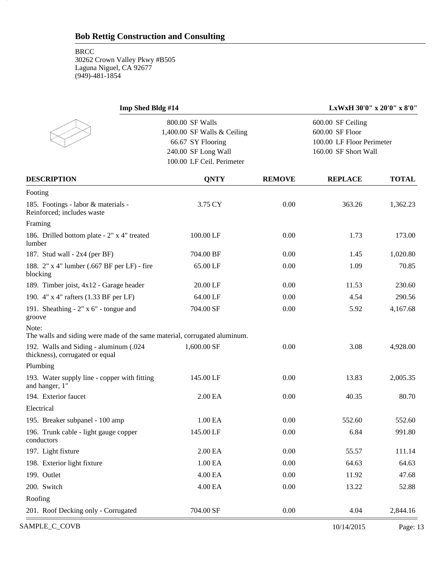13

| Imp Shed Bldg #14                                                                  |                                                                                                                         |               | LxWxH 30'0" x 20'0" x 8'0"                                                                |              |
|------------------------------------------------------------------------------------|-------------------------------------------------------------------------------------------------------------------------|---------------|-------------------------------------------------------------------------------------------|--------------|
|                                                                                    | 800.00 SF Walls<br>1,400.00 SF Walls & Ceiling<br>66.67 SY Flooring<br>240.00 SF Long Wall<br>100.00 LF Ceil. Perimeter |               | 600.00 SF Ceiling<br>600.00 SF Floor<br>100.00 LF Floor Perimeter<br>160.00 SF Short Wall |              |
| <b>DESCRIPTION</b>                                                                 | <b>QNTY</b>                                                                                                             | <b>REMOVE</b> | <b>REPLACE</b>                                                                            | <b>TOTAL</b> |
| Footing                                                                            |                                                                                                                         |               |                                                                                           |              |
| 185. Footings - labor & materials -<br>Reinforced; includes waste                  | 3.75 CY                                                                                                                 | 0.00          | 363.26                                                                                    | 1,362.23     |
| Framing                                                                            |                                                                                                                         |               |                                                                                           |              |
| 186. Drilled bottom plate - 2" x 4" treated<br>lumber                              | 100.00 LF                                                                                                               | 0.00          | 1.73                                                                                      | 173.00       |
| 187. Stud wall - 2x4 (per BF)                                                      | 704.00 BF                                                                                                               | 0.00          | 1.45                                                                                      | 1,020.80     |
| 188. 2" x 4" lumber (.667 BF per LF) - fire<br>blocking                            | 65.00 LF                                                                                                                | 0.00          | 1.09                                                                                      | 70.85        |
| 189. Timber joist, 4x12 - Garage header                                            | 20.00 LF                                                                                                                | 0.00          | 11.53                                                                                     | 230.60       |
| 190. 4" x 4" rafters (1.33 BF per LF)                                              | 64.00 LF                                                                                                                | 0.00          | 4.54                                                                                      | 290.56       |
| 191. Sheathing $-2$ " x 6" - tongue and<br>groove                                  | 704.00 SF                                                                                                               | 0.00          | 5.92                                                                                      | 4,167.68     |
| Note:<br>The walls and siding were made of the same material, corrugated aluminum. |                                                                                                                         |               |                                                                                           |              |
| 192. Walls and Siding - aluminum (.024<br>thickness), corrugated or equal          | 1,600.00 SF                                                                                                             | 0.00          | 3.08                                                                                      | 4,928.00     |
| Plumbing                                                                           |                                                                                                                         |               |                                                                                           |              |
| 193. Water supply line - copper with fitting<br>and hanger, 1"                     | 145.00 LF                                                                                                               | 0.00          | 13.83                                                                                     | 2,005.35     |
| 194. Exterior faucet                                                               | 2.00 EA                                                                                                                 | 0.00          | 40.35                                                                                     | 80.70        |
| Electrical                                                                         |                                                                                                                         |               |                                                                                           |              |
| 195. Breaker subpanel - 100 amp                                                    | 1.00 EA                                                                                                                 | 0.00          | 552.60                                                                                    | 552.60       |
| 196. Trunk cable - light gauge copper<br>conductors                                | 145.00 LF                                                                                                               | 0.00          | 6.84                                                                                      | 991.80       |
| 197. Light fixture                                                                 | 2.00 EA                                                                                                                 | 0.00          | 55.57                                                                                     | 111.14       |
| 198. Exterior light fixture                                                        | 1.00 EA                                                                                                                 | 0.00          | 64.63                                                                                     | 64.63        |
| 199. Outlet                                                                        | 4.00 EA                                                                                                                 | 0.00          | 11.92                                                                                     | 47.68        |
| 200. Switch                                                                        | 4.00 EA                                                                                                                 | 0.00          | 13.22                                                                                     | 52.88        |
| Roofing                                                                            |                                                                                                                         |               |                                                                                           |              |
| 201. Roof Decking only - Corrugated                                                | 704.00 SF                                                                                                               | 0.00          | 4.04                                                                                      | 2,844.16     |

SAMPLE\_C\_COVB Page: 13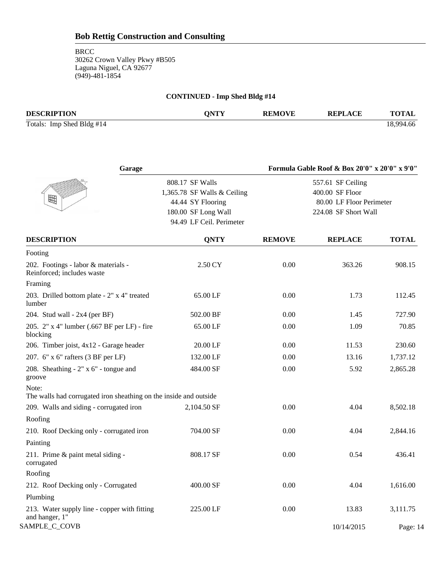**BRCC** 

30262 Crown Valley Pkwy #B505 Laguna Niguel, CA 92677 (949)-481-1854

## **CONTINUED - Imp Shed Bldg #14 DESCRIPTION QNTY REMOVE REPLACE TOTAL** Totals: Imp Shed Bldg #14 18,994.66

| Garage                                                                       |                                                                                                                        |               | Formula Gable Roof & Box 20'0" x 20'0" x 9'0"                                            |              |
|------------------------------------------------------------------------------|------------------------------------------------------------------------------------------------------------------------|---------------|------------------------------------------------------------------------------------------|--------------|
| 囲                                                                            | 808.17 SF Walls<br>1,365.78 SF Walls & Ceiling<br>44.44 SY Flooring<br>180.00 SF Long Wall<br>94.49 LF Ceil. Perimeter |               | 557.61 SF Ceiling<br>400.00 SF Floor<br>80.00 LF Floor Perimeter<br>224.08 SF Short Wall |              |
| <b>DESCRIPTION</b>                                                           | <b>QNTY</b>                                                                                                            | <b>REMOVE</b> | <b>REPLACE</b>                                                                           | <b>TOTAL</b> |
| Footing                                                                      |                                                                                                                        |               |                                                                                          |              |
| 202. Footings - labor & materials -<br>Reinforced; includes waste<br>Framing | 2.50 CY                                                                                                                | 0.00          | 363.26                                                                                   | 908.15       |
| 203. Drilled bottom plate - 2" x 4" treated<br>lumber                        | 65.00 LF                                                                                                               | 0.00          | 1.73                                                                                     | 112.45       |
| 204. Stud wall - $2x4$ (per BF)                                              | 502.00 BF                                                                                                              | 0.00          | 1.45                                                                                     | 727.90       |
| 205. 2" x 4" lumber (.667 BF per LF) - fire<br>blocking                      | 65.00 LF                                                                                                               | 0.00          | 1.09                                                                                     | 70.85        |
| 206. Timber joist, 4x12 - Garage header                                      | 20.00 LF                                                                                                               | 0.00          | 11.53                                                                                    | 230.60       |
| 207. 6" x 6" rafters (3 BF per LF)                                           | 132.00 LF                                                                                                              | 0.00          | 13.16                                                                                    | 1,737.12     |
| 208. Sheathing $-2$ " x 6" - tongue and<br>groove                            | 484.00 SF                                                                                                              | 0.00          | 5.92                                                                                     | 2,865.28     |
| Note:<br>The walls had corrugated iron sheathing on the inside and outside   |                                                                                                                        |               |                                                                                          |              |
| 209. Walls and siding - corrugated iron                                      | 2,104.50 SF                                                                                                            | 0.00          | 4.04                                                                                     | 8,502.18     |
| Roofing                                                                      |                                                                                                                        |               |                                                                                          |              |
| 210. Roof Decking only - corrugated iron                                     | 704.00 SF                                                                                                              | 0.00          | 4.04                                                                                     | 2,844.16     |
| Painting                                                                     |                                                                                                                        |               |                                                                                          |              |
| 211. Prime & paint metal siding -<br>corrugated                              | 808.17 SF                                                                                                              | 0.00          | 0.54                                                                                     | 436.41       |
| Roofing                                                                      |                                                                                                                        |               |                                                                                          |              |
| 212. Roof Decking only - Corrugated                                          | 400.00 SF                                                                                                              | 0.00          | 4.04                                                                                     | 1,616.00     |
| Plumbing                                                                     |                                                                                                                        |               |                                                                                          |              |
| 213. Water supply line - copper with fitting<br>and hanger, 1"               | 225.00 LF                                                                                                              | 0.00          | 13.83                                                                                    | 3,111.75     |
| SAMPLE_C_COVB                                                                |                                                                                                                        |               | 10/14/2015                                                                               | Page: 14     |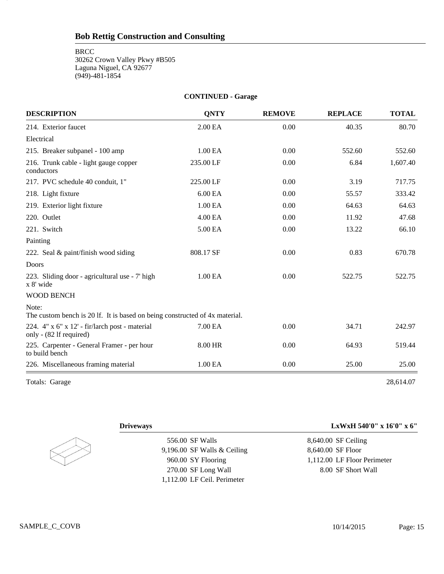#### **CONTINUED - Garage**

| <b>DESCRIPTION</b>                                                                   | <b>QNTY</b> | <b>REMOVE</b> | <b>REPLACE</b> | <b>TOTAL</b> |
|--------------------------------------------------------------------------------------|-------------|---------------|----------------|--------------|
| 214. Exterior faucet                                                                 | 2.00 EA     | 0.00          | 40.35          | 80.70        |
| Electrical                                                                           |             |               |                |              |
| 215. Breaker subpanel - 100 amp                                                      | 1.00 EA     | 0.00          | 552.60         | 552.60       |
| 216. Trunk cable - light gauge copper<br>conductors                                  | 235.00 LF   | 0.00          | 6.84           | 1,607.40     |
| 217. PVC schedule 40 conduit, 1"                                                     | 225.00 LF   | 0.00          | 3.19           | 717.75       |
| 218. Light fixture                                                                   | 6.00 EA     | 0.00          | 55.57          | 333.42       |
| 219. Exterior light fixture                                                          | 1.00 EA     | 0.00          | 64.63          | 64.63        |
| 220. Outlet                                                                          | 4.00 EA     | 0.00          | 11.92          | 47.68        |
| 221. Switch                                                                          | 5.00 EA     | 0.00          | 13.22          | 66.10        |
| Painting                                                                             |             |               |                |              |
| 222. Seal & paint/finish wood siding                                                 | 808.17 SF   | 0.00          | 0.83           | 670.78       |
| Doors                                                                                |             |               |                |              |
| 223. Sliding door - agricultural use - 7' high<br>x 8' wide                          | 1.00 EA     | 0.00          | 522.75         | 522.75       |
| <b>WOOD BENCH</b>                                                                    |             |               |                |              |
| Note:<br>The custom bench is 20 lf. It is based on being constructed of 4x material. |             |               |                |              |
| 224. 4" x 6" x 12' - fir/larch post - material<br>only - (82 lf required)            | 7.00 EA     | 0.00          | 34.71          | 242.97       |
| 225. Carpenter - General Framer - per hour<br>to build bench                         | 8.00 HR     | 0.00          | 64.93          | 519.44       |
| 226. Miscellaneous framing material                                                  | 1.00 EA     | 0.00          | 25.00          | 25.00        |
| Totals: Garage                                                                       |             |               |                | 28,614.07    |

15

556.00 SF Walls 9,196.00 SF Walls & Ceiling 960.00 SY Flooring 270.00 SF Long Wall 1,112.00 LF Ceil. Perimeter

**Driveways LxWxH 540'0" x 16'0" x 6"**

8,640.00 SF Ceiling 8,640.00 SF Floor 1,112.00 LF Floor Perimeter 8.00 SF Short Wall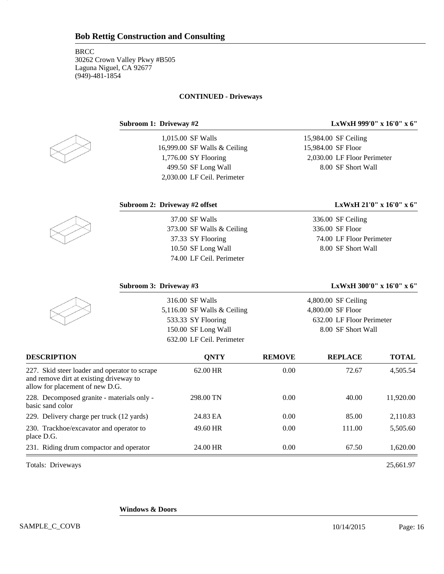#### **CONTINUED - Driveways**

16

1,015.00 SF Walls 16,999.00 SF Walls & Ceiling 1,776.00 SY Flooring 499.50 SF Long Wall

**Subroom 1: Driveway #2 LxWxH 999'0" x 16'0" x 6"**

15,984.00 SF Ceiling 15,984.00 SF Floor 2,030.00 LF Floor Perimeter 8.00 SF Short Wall

2,030.00 LF Ceil. Perimeter

37.00 SF Walls

373.00 SF Walls & Ceiling 37.33 SY Flooring 10.50 SF Long Wall 74.00 LF Ceil. Perimeter

#### **Subroom 2: Driveway #2 offset LxWxH 21'0" x 16'0" x 6"**

336.00 SF Ceiling 336.00 SF Floor 74.00 LF Floor Perimeter 8.00 SF Short Wall

| Subroom 3: Driveway #3                                                                                                      |                               |               | LxWxH 300'0" x 16'0" x 6" |              |
|-----------------------------------------------------------------------------------------------------------------------------|-------------------------------|---------------|---------------------------|--------------|
|                                                                                                                             | 316.00 SF Walls               |               | $4,800.00$ SF Ceiling     |              |
|                                                                                                                             | 5,116.00 SF Walls $&$ Ceiling |               | 4,800.00 SF Floor         |              |
|                                                                                                                             | 533.33 SY Flooring            |               | 632.00 LF Floor Perimeter |              |
|                                                                                                                             | 150.00 SF Long Wall           |               | 8.00 SF Short Wall        |              |
|                                                                                                                             | 632.00 LF Ceil. Perimeter     |               |                           |              |
| <b>DESCRIPTION</b>                                                                                                          | <b>QNTY</b>                   | <b>REMOVE</b> | <b>REPLACE</b>            | <b>TOTAL</b> |
| 227. Skid steer loader and operator to scrape<br>and remove dirt at existing driveway to<br>allow for placement of new D.G. | 62.00 HR                      | 0.00          | 72.67                     | 4,505.54     |
| 228. Decomposed granite - materials only -<br>basic sand color                                                              | 298.00 TN                     | 0.00          | 40.00                     | 11,920.00    |
| 229. Delivery charge per truck (12 yards)                                                                                   | 24.83 EA                      | 0.00          | 85.00                     | 2,110.83     |
| 230. Trackhoe/excavator and operator to<br>place D.G.                                                                       | 49.60 HR                      | 0.00          | 111.00                    | 5,505.60     |
| 231. Riding drum compactor and operator                                                                                     | 24.00 HR                      | 0.00          | 67.50                     | 1,620.00     |

Totals: Driveways 25,661.97

**Windows & Doors**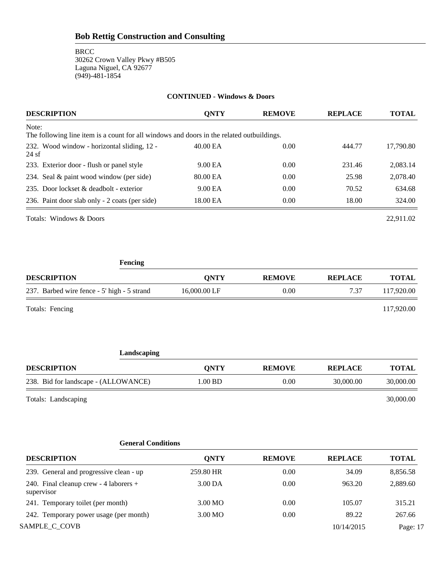| <b>DESCRIPTION</b>                                                                                 | <b>ONTY</b> | <b>REMOVE</b> | <b>REPLACE</b> | <b>TOTAL</b> |
|----------------------------------------------------------------------------------------------------|-------------|---------------|----------------|--------------|
| Note:<br>The following line item is a count for all windows and doors in the related outbuildings. |             |               |                |              |
| 232. Wood window - horizontal sliding, 12 -<br>24sf                                                | 40.00 EA    | 0.00          | 444.77         | 17,790.80    |
| 233. Exterior door - flush or panel style                                                          | 9.00 EA     | 0.00          | 231.46         | 2,083.14     |
| 234. Seal & paint wood window (per side)                                                           | 80.00 EA    | 0.00          | 25.98          | 2,078.40     |
| 235. Door lockset & deadbolt - exterior                                                            | 9.00 EA     | 0.00          | 70.52          | 634.68       |
| 236. Paint door slab only - 2 coats (per side)                                                     | 18.00 EA    | 0.00          | 18.00          | 324.00       |
| Totals: Windows & Doors                                                                            |             |               |                | 22.911.02    |

**CONTINUED - Windows & Doors**

**Fencing DESCRIPTION QNTY REMOVE REPLACE TOTAL**

237. Barbed wire fence - 5' high - 5 strand 16,000.00 LF 0.00 7.37 117,920.00 Totals: Fencing 117,920.00

| ıО<br>-91<br>asea<br>ш |
|------------------------|
|                        |

| <b>DESCRIPTION</b>                   | <b>ONTY</b> | <b>REMOVE</b> | <b>REPLACE</b> | TOTAL     |
|--------------------------------------|-------------|---------------|----------------|-----------|
| 238. Bid for landscape - (ALLOWANCE) | $.00$ BD    | 0.00          | 30,000.00      | 30,000.00 |
|                                      |             |               |                |           |

Totals: Landscaping 30,000.00

### **General Conditions**

| <b>DESCRIPTION</b>                                   | <b>ONTY</b> | <b>REMOVE</b> | <b>REPLACE</b> | <b>TOTAL</b> |
|------------------------------------------------------|-------------|---------------|----------------|--------------|
| 239. General and progressive clean - up              | 259.80 HR   | 0.00          | 34.09          | 8,856.58     |
| 240. Final cleanup crew - 4 laborers +<br>supervisor | 3.00 DA     | 0.00          | 963.20         | 2,889.60     |
| 241. Temporary toilet (per month)                    | 3.00 MO     | 0.00          | 105.07         | 315.21       |
| 242. Temporary power usage (per month)               | 3.00 MO     | 0.00          | 89.22          | 267.66       |
| SAMPLE C COVB                                        |             |               | 10/14/2015     | Page: 17     |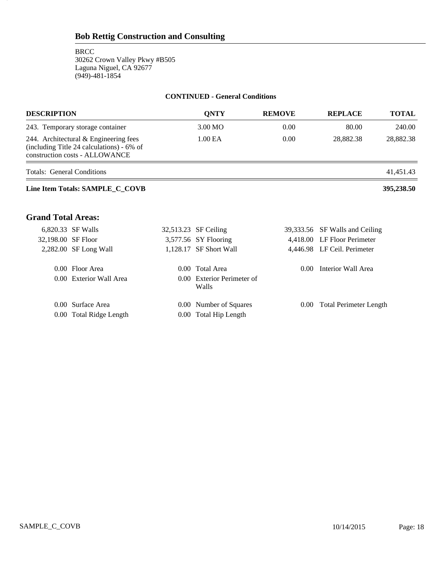18

#### **CONTINUED - General Conditions**

| <b>DESCRIPTION</b>                                                                                                   | <b>QNTY</b>                         | <b>REMOVE</b>  | <b>REPLACE</b>                 | <b>TOTAL</b> |
|----------------------------------------------------------------------------------------------------------------------|-------------------------------------|----------------|--------------------------------|--------------|
| 243. Temporary storage container                                                                                     | 3.00 MO                             | 0.00           | 80.00                          | 240.00       |
| 244. Architectural & Engineering fees<br>(including Title 24 calculations) - 6% of<br>construction costs - ALLOWANCE | 1.00 EA                             | 0.00           | 28,882.38                      | 28,882.38    |
| <b>Totals: General Conditions</b>                                                                                    |                                     |                |                                | 41,451.43    |
| Line Item Totals: SAMPLE_C_COVB                                                                                      |                                     |                |                                | 395,238.50   |
| <b>Grand Total Areas:</b>                                                                                            |                                     |                |                                |              |
| 6,820.33 SF Walls                                                                                                    | 32,513.23 SF Ceiling                |                | 39,333.56 SF Walls and Ceiling |              |
| 32,198.00 SF Floor                                                                                                   | 3,577.56 SY Flooring                |                | 4,418.00 LF Floor Perimeter    |              |
| 2,282.00 SF Long Wall                                                                                                | 1,128.17 SF Short Wall              |                | 4,446.98 LF Ceil. Perimeter    |              |
| 0.00 Floor Area                                                                                                      | 0.00 Total Area                     | $0.00^{\circ}$ | Interior Wall Area             |              |
| 0.00 Exterior Wall Area                                                                                              | 0.00 Exterior Perimeter of<br>Walls |                |                                |              |
| 0.00 Surface Area                                                                                                    | 0.00 Number of Squares              | $0.00\,$       | <b>Total Perimeter Length</b>  |              |
| 0.00 Total Ridge Length                                                                                              | 0.00 Total Hip Length               |                |                                |              |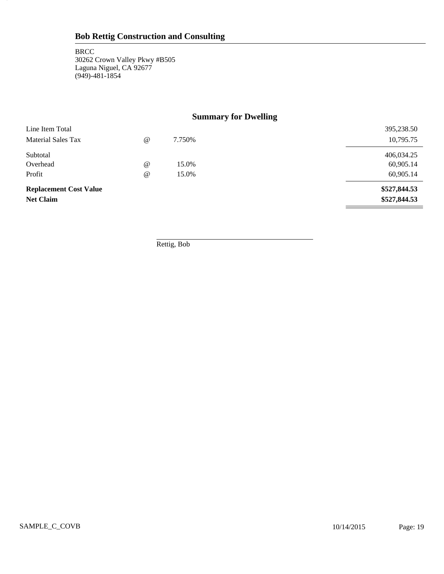19

### **Summary for Dwelling**

| Line Item Total               |                                 |        | 395,238.50   |
|-------------------------------|---------------------------------|--------|--------------|
| Material Sales Tax            | $^{\scriptsize\textregistered}$ | 7.750% | 10,795.75    |
| Subtotal                      |                                 |        | 406,034.25   |
| Overhead                      | $^{\scriptsize\textregistered}$ | 15.0%  | 60,905.14    |
| Profit                        | $\omega$                        | 15.0%  | 60,905.14    |
| <b>Replacement Cost Value</b> |                                 |        | \$527,844.53 |
| <b>Net Claim</b>              |                                 |        | \$527,844.53 |

Rettig, Bob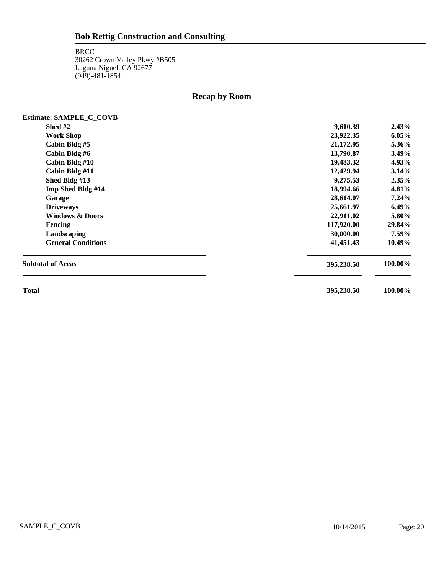20

### **Recap by Room**

| <b>Estimate: SAMPLE_C_COVB</b> |            |          |
|--------------------------------|------------|----------|
| Shed #2                        | 9,610.39   | 2.43%    |
| <b>Work Shop</b>               | 23,922.35  | 6.05%    |
| Cabin Bldg #5                  | 21,172.95  | 5.36%    |
| Cabin Bldg #6                  | 13,790.87  | $3.49\%$ |
| Cabin Bldg #10                 | 19,483.32  | 4.93%    |
| Cabin Bldg #11                 | 12,429.94  | 3.14%    |
| Shed Bldg #13                  | 9,275.53   | 2.35%    |
| Imp Shed Bldg #14              | 18,994.66  | 4.81%    |
| Garage                         | 28,614.07  | $7.24\%$ |
| <b>Driveways</b>               | 25,661.97  | $6.49\%$ |
| <b>Windows &amp; Doors</b>     | 22,911.02  | 5.80%    |
| <b>Fencing</b>                 | 117,920.00 | 29.84%   |
| Landscaping                    | 30,000.00  | 7.59%    |
| <b>General Conditions</b>      | 41,451.43  | 10.49%   |
| <b>Subtotal of Areas</b>       | 395,238.50 | 100.00%  |
| <b>Total</b>                   | 395,238.50 | 100.00%  |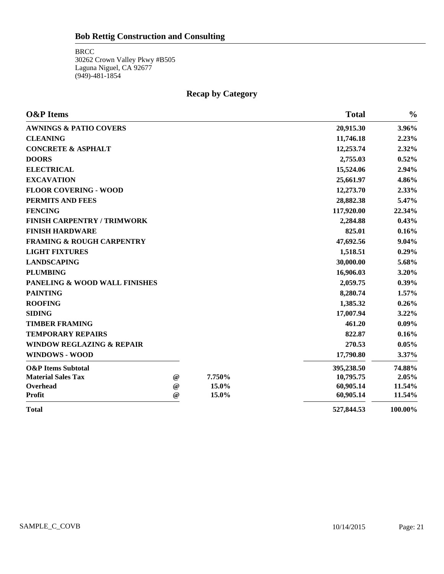### **Recap by Category**

| <b>O&amp;P</b> Items                 |                 |        | <b>Total</b> | $\frac{0}{0}$ |
|--------------------------------------|-----------------|--------|--------------|---------------|
| <b>AWNINGS &amp; PATIO COVERS</b>    |                 |        | 20,915.30    | 3.96%         |
| <b>CLEANING</b>                      |                 |        | 11,746.18    | 2.23%         |
| <b>CONCRETE &amp; ASPHALT</b>        |                 |        | 12,253.74    | 2.32%         |
| <b>DOORS</b>                         |                 |        | 2,755.03     | 0.52%         |
| <b>ELECTRICAL</b>                    |                 |        | 15,524.06    | 2.94%         |
| <b>EXCAVATION</b>                    |                 |        | 25,661.97    | 4.86%         |
| <b>FLOOR COVERING - WOOD</b>         |                 |        | 12,273.70    | 2.33%         |
| PERMITS AND FEES                     |                 |        | 28,882.38    | 5.47%         |
| <b>FENCING</b>                       |                 |        | 117,920.00   | 22.34%        |
| <b>FINISH CARPENTRY / TRIMWORK</b>   |                 |        | 2,284.88     | 0.43%         |
| <b>FINISH HARDWARE</b>               |                 |        | 825.01       | 0.16%         |
| <b>FRAMING &amp; ROUGH CARPENTRY</b> |                 |        | 47,692.56    | 9.04%         |
| <b>LIGHT FIXTURES</b>                |                 |        | 1,518.51     | $0.29\%$      |
| <b>LANDSCAPING</b>                   |                 |        | 30,000.00    | 5.68%         |
| <b>PLUMBING</b>                      |                 |        | 16,906.03    | 3.20%         |
| PANELING & WOOD WALL FINISHES        |                 |        | 2,059.75     | $0.39\%$      |
| <b>PAINTING</b>                      |                 |        | 8,280.74     | 1.57%         |
| <b>ROOFING</b>                       |                 |        | 1,385.32     | $0.26\%$      |
| <b>SIDING</b>                        |                 |        | 17,007.94    | 3.22%         |
| <b>TIMBER FRAMING</b>                |                 |        | 461.20       | $0.09\%$      |
| <b>TEMPORARY REPAIRS</b>             |                 |        | 822.87       | 0.16%         |
| <b>WINDOW REGLAZING &amp; REPAIR</b> |                 |        | 270.53       | 0.05%         |
| WINDOWS - WOOD                       |                 |        | 17,790.80    | 3.37%         |
| <b>O&amp;P</b> Items Subtotal        |                 |        | 395,238.50   | 74.88%        |
| <b>Material Sales Tax</b>            | $^{\copyright}$ | 7.750% | 10,795.75    | 2.05%         |
| Overhead                             | $^{\copyright}$ | 15.0%  | 60,905.14    | 11.54%        |
| <b>Profit</b>                        | $^{\circ}$      | 15.0%  | 60,905.14    | 11.54%        |
| <b>Total</b>                         |                 |        | 527,844.53   | 100.00%       |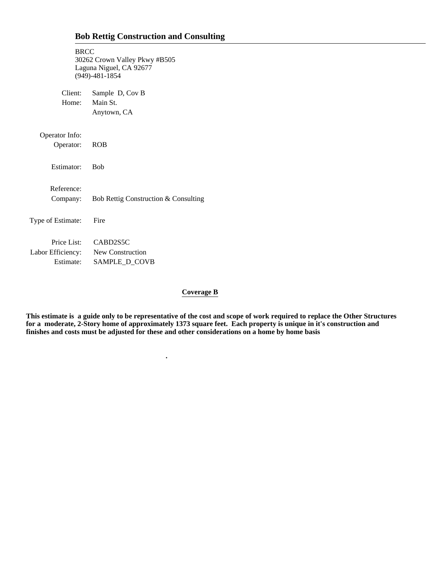| <b>BRCC</b>       | 30262 Crown Valley Pkwy #B505<br>Laguna Niguel, CA 92677<br>$(949) - 481 - 1854$ |
|-------------------|----------------------------------------------------------------------------------|
| Client:           | Sample D, Cov B                                                                  |
| Home:             | Main St.                                                                         |
|                   | Anytown, CA                                                                      |
| Operator Info:    |                                                                                  |
| Operator:         | <b>ROB</b>                                                                       |
| Estimator:        | <b>Bob</b>                                                                       |
| Reference:        |                                                                                  |
| Company:          | Bob Rettig Construction & Consulting                                             |
| Type of Estimate: | Fire                                                                             |
|                   | Price List: CABD2S5C                                                             |
|                   | Labor Efficiency: New Construction                                               |
| Estimate:         | SAMPLE_D_COVB                                                                    |

 **.**

#### **Coverage B**

**This estimate is a guide only to be representative of the cost and scope of work required to replace the Other Structures for a moderate, 2-Story home of approximately 1373 square feet. Each property is unique in it's construction and finishes and costs must be adjusted for these and other considerations on a home by home basis**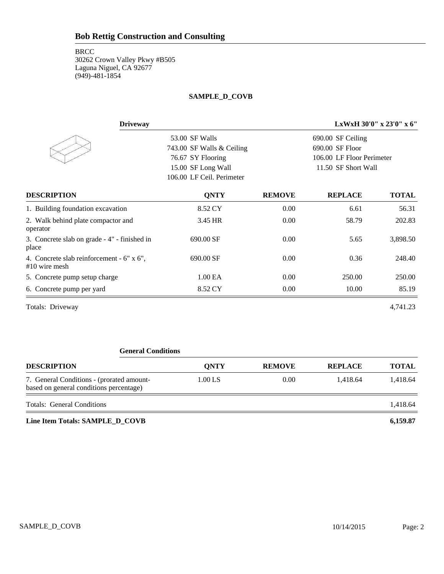#### **BRCC**

30262 Crown Valley Pkwy #B505 Laguna Niguel, CA 92677 (949)-481-1854

#### **SAMPLE\_D\_COVB**

| <b>Driveway</b>                                            | LxWxH 30'0" x 23'0" x 6"  |               |                           |              |
|------------------------------------------------------------|---------------------------|---------------|---------------------------|--------------|
|                                                            | 53.00 SF Walls            |               | 690.00 SF Ceiling         |              |
|                                                            | 743.00 SF Walls & Ceiling |               | 690.00 SF Floor           |              |
|                                                            | 76.67 SY Flooring         |               | 106.00 LF Floor Perimeter |              |
|                                                            | 15.00 SF Long Wall        |               | 11.50 SF Short Wall       |              |
|                                                            | 106.00 LF Ceil. Perimeter |               |                           |              |
| <b>DESCRIPTION</b>                                         | <b>QNTY</b>               | <b>REMOVE</b> | <b>REPLACE</b>            | <b>TOTAL</b> |
| 1. Building foundation excavation                          | 8.52 CY                   | 0.00          | 6.61                      | 56.31        |
| 2. Walk behind plate compactor and<br>operator             | 3.45 HR                   | 0.00          | 58.79                     | 202.83       |
| 3. Concrete slab on grade - 4" - finished in<br>place      | 690.00 SF                 | 0.00          | 5.65                      | 3,898.50     |
| 4. Concrete slab reinforcement - 6" x 6",<br>#10 wire mesh | 690.00 SF                 | 0.00          | 0.36                      | 248.40       |
| 5. Concrete pump setup charge                              | 1.00 EA                   | 0.00          | 250.00                    | 250.00       |
| 6. Concrete pump per yard                                  | 8.52 CY                   | 0.00          | 10.00                     | 85.19        |
| Totals: Driveway                                           |                           |               |                           | 4,741.23     |

#### **General Conditions**

| <b>DESCRIPTION</b>                                                                   | <b>ONTY</b> | <b>REMOVE</b> | <b>REPLACE</b> | <b>TOTAL</b> |
|--------------------------------------------------------------------------------------|-------------|---------------|----------------|--------------|
| 7. General Conditions - (prorated amount-<br>based on general conditions percentage) | $1.00$ LS   | 0.00          | 1.418.64       | 1.418.64     |
| <b>Totals: General Conditions</b>                                                    |             |               |                | 1,418.64     |
| Line Item Totals: SAMPLE D COVB                                                      |             |               |                | 6.159.87     |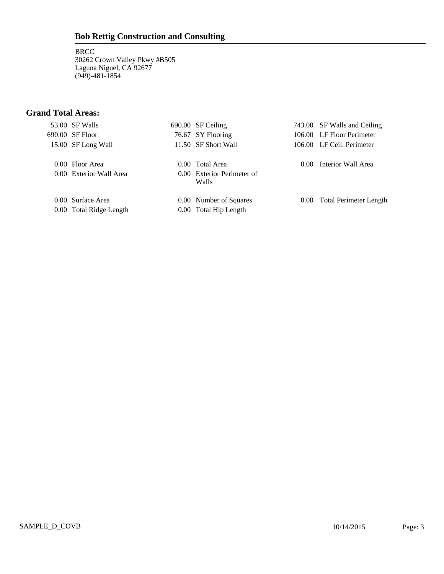**BRCC** 30262 Crown Valley Pkwy #B505 Laguna Niguel, CA 92677 (949)-481-1854

### **Grand Total Areas:**

3

| 53.00 SF Walls          | 690.00 SF Ceiling                   |                | 743.00 SF Walls and Ceiling   |
|-------------------------|-------------------------------------|----------------|-------------------------------|
| 690.00 SF Floor         | 76.67 SY Flooring                   |                | 106.00 LF Floor Perimeter     |
| 15.00 SF Long Wall      | 11.50 SF Short Wall                 |                | 106.00 LF Ceil. Perimeter     |
| 0.00 Floor Area         | 0.00 Total Area                     | 0.00           | Interior Wall Area            |
| 0.00 Exterior Wall Area | 0.00 Exterior Perimeter of<br>Walls |                |                               |
| 0.00 Surface Area       | 0.00 Number of Squares              | $0.00^{\circ}$ | <b>Total Perimeter Length</b> |
| 0.00 Total Ridge Length | 0.00 Total Hip Length               |                |                               |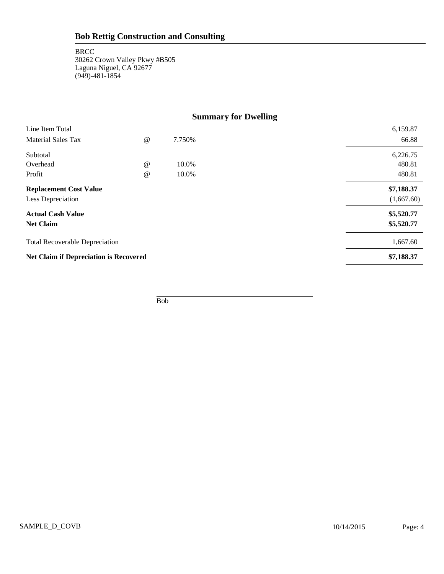### **Summary for Dwelling**

| Line Item Total                               |                 |        | 6,159.87   |
|-----------------------------------------------|-----------------|--------|------------|
| <b>Material Sales Tax</b>                     | $\omega$        | 7.750% | 66.88      |
| Subtotal                                      |                 |        | 6,226.75   |
| Overhead                                      | $\omega$        | 10.0%  | 480.81     |
| Profit                                        | $^{\copyright}$ | 10.0%  | 480.81     |
| <b>Replacement Cost Value</b>                 |                 |        | \$7,188.37 |
| Less Depreciation                             |                 |        | (1,667.60) |
| <b>Actual Cash Value</b>                      |                 |        | \$5,520.77 |
| <b>Net Claim</b>                              |                 |        | \$5,520.77 |
| <b>Total Recoverable Depreciation</b>         |                 |        | 1,667.60   |
| <b>Net Claim if Depreciation is Recovered</b> |                 |        | \$7,188.37 |
|                                               |                 |        |            |

Bob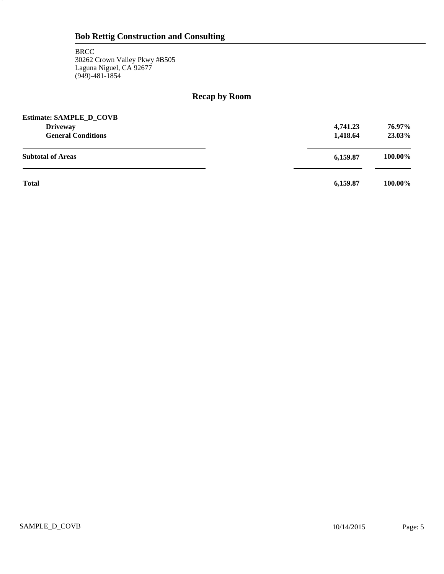5

### **Recap by Room**

| <b>Estimate: SAMPLE D COVB</b> |          |         |
|--------------------------------|----------|---------|
| <b>Driveway</b>                | 4,741.23 | 76.97%  |
| <b>General Conditions</b>      | 1,418.64 | 23.03%  |
| <b>Subtotal of Areas</b>       | 6,159.87 | 100.00% |
| <b>Total</b>                   | 6,159.87 | 100.00% |